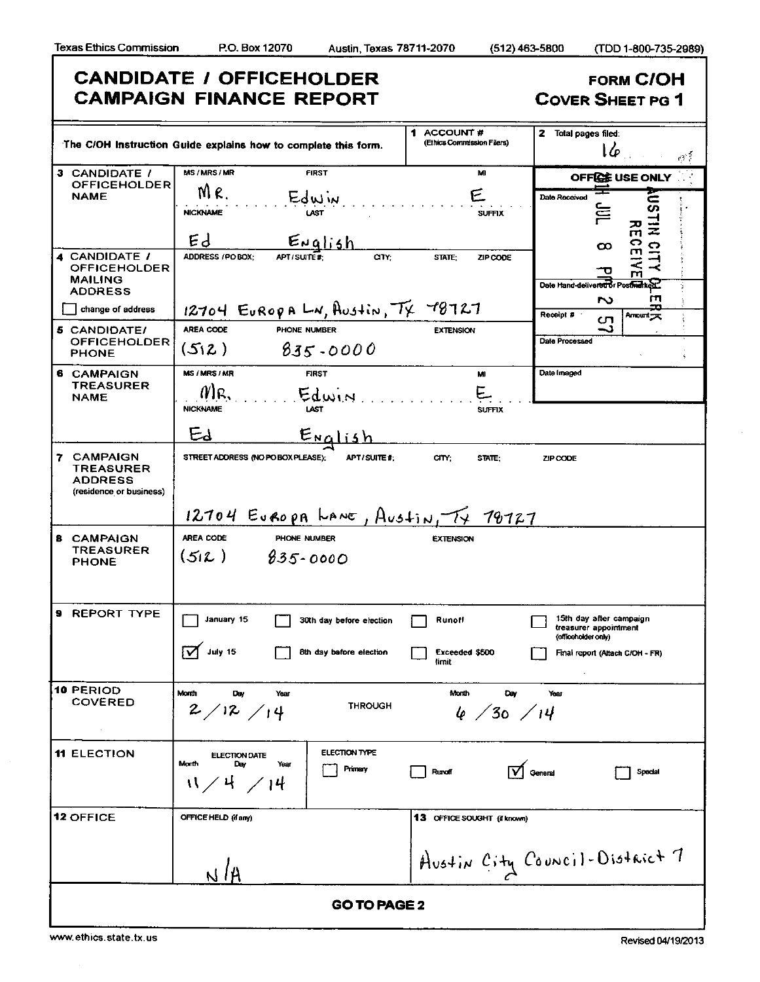|                                                                      | <b>CANDIDATE / OFFICEHOLDER</b><br><b>CAMPAIGN FINANCE REPORT</b>                                         |                                          | <b>FORM C/OH</b><br><b>COVER SHEET PG 1</b>                                                                |
|----------------------------------------------------------------------|-----------------------------------------------------------------------------------------------------------|------------------------------------------|------------------------------------------------------------------------------------------------------------|
|                                                                      | The C/OH Instruction Guide explains how to complete this form.                                            | 1 ACCOUNT#<br>(Ethics Commission Filers) | $\overline{2}$ Total pages filed:<br>lφ<br>్                                                               |
| 3 CANDIDATE /<br><b>OFFICEHOLDER</b>                                 | MS/MRS/MR<br><b>FIRST</b>                                                                                 | MI                                       | OFFICE USE ONLY                                                                                            |
| <b>NAME</b>                                                          | MR.<br>Edwin<br><b>NICKNAME</b><br>Ed                                                                     | F.<br><b>SUFFIX</b>                      | Date Received<br>ÈΕ<br>ō,<br>ž                                                                             |
| 4 CANDIDATE /<br>OFFICEHOLDER<br><b>MAILING</b><br><b>ADDRESS</b>    | <u>English</u><br><b>ADDRESS / PO BOX:</b><br>APT/SUITE#:<br>arr:                                         | STATE:<br>ZIP CODE                       | <b>RECEIV</b><br>CITY<br>$\infty$<br>o<br>m<br>Date Hand-delivered or Postmarket<br>гп<br>S                |
| change of address                                                    | $12704$ EUROPA LN, AUStin, $T_X$ 78727                                                                    |                                          | Receipt #<br>Amount y<br>ഗ                                                                                 |
| 5 CANDIDATE/<br><b>OFFICEHOLDER</b><br><b>PHONE</b>                  | <b>AREA CODE</b><br>PHONE NUMBER<br>(512)<br>$835 - 0000$                                                 | <b>EXTENSION</b>                         | د۔<br>Date Processed                                                                                       |
| 6 CAMPAIGN<br><b>TREASURER</b><br><b>NAME</b>                        | <b>MS/MRS/MR</b><br><b>FIRST</b><br>//โQ<br>Edwin<br>LAST<br><b>NICKNAME</b>                              | MI<br><b>SUFFIX</b>                      | Date Imaged                                                                                                |
|                                                                      | Ed<br>English                                                                                             |                                          |                                                                                                            |
| 7 CAMPAIGN<br>TREASURER<br><b>ADDRESS</b><br>(residence or business) | STREET ADDRESS (NO PO BOX PLEASE);<br>APT SUITE #:<br>12704 EUROPA LANE, AUStIN, TY 70727                 | CITY:<br>STATE:                          | ZIP CODE                                                                                                   |
| <b>8 CAMPAIGN</b><br><b>TREASURER</b><br><b>PHONE</b>                | AREA CODE<br>PHONE NUMBER<br>$(512) 835 - 0000$                                                           | <b>EXTENSION</b>                         |                                                                                                            |
| <b>9 REPORT TYPE</b>                                                 | January 15<br>30th day before election<br>$\sqrt{ }$ July 15<br>8th day before election                   | Runoff<br>Exceeded \$500<br>timit        | 15th day after campaign<br>treasurer appointment<br>(officeholder only)<br>Final report (Attach C/OH - FR) |
| 10 PERIOD<br><b>COVERED</b>                                          | Month<br>Day<br>Year<br><b>THROUGH</b><br>2/12/14                                                         | Month<br>Day<br>4/30/14                  | Year                                                                                                       |
| <b>11 ELECTION</b>                                                   | <b>ELECTION TYPE</b><br><b>ELECTION DATE</b><br>Morth<br>Day<br>Year<br>Primary<br>$N \times 4 \times 14$ | <b>Runoff</b>                            | General<br>Spedal                                                                                          |
| <b>12 OFFICE</b>                                                     | OFFICE HELD (if any)                                                                                      | <b>13 OFFICE SOUGHT (if known)</b>       |                                                                                                            |
|                                                                      | NIA                                                                                                       |                                          | Austin City Council-District 7                                                                             |
|                                                                      | <b>GO TO PAGE 2</b>                                                                                       |                                          |                                                                                                            |

 $\bar{\mathcal{L}}$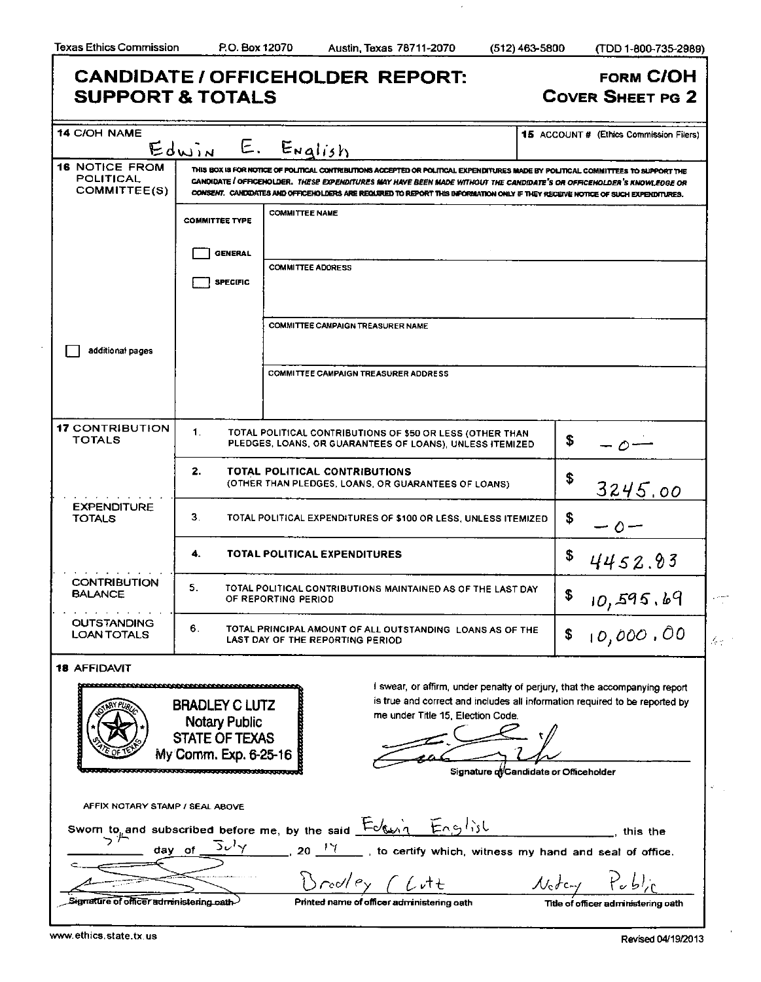$\boldsymbol{\cdot}$ 

| <b>SUPPORT &amp; TOTALS</b>                                                                                                         |                                                                                                 | <b>CANDIDATE / OFFICEHOLDER REPORT:</b>                                                                                                                                                                                                                                                                                                                                                       | <b>FORM C/OH</b><br><b>COVER SHEET PG 2</b>                                                                                                                                                         |
|-------------------------------------------------------------------------------------------------------------------------------------|-------------------------------------------------------------------------------------------------|-----------------------------------------------------------------------------------------------------------------------------------------------------------------------------------------------------------------------------------------------------------------------------------------------------------------------------------------------------------------------------------------------|-----------------------------------------------------------------------------------------------------------------------------------------------------------------------------------------------------|
| <b>14 C/OH NAME</b>                                                                                                                 |                                                                                                 |                                                                                                                                                                                                                                                                                                                                                                                               | 15 ACCOUNT # (Ethics Commission Filers)                                                                                                                                                             |
|                                                                                                                                     | Edwin                                                                                           | E. English                                                                                                                                                                                                                                                                                                                                                                                    |                                                                                                                                                                                                     |
| <b>16 NOTICE FROM</b><br>POLITICAL<br>COMMITTEE(S)                                                                                  |                                                                                                 | THIS BOX IS FOR NOTICE OF POLITICAL CONTRIBUTIONS ACCEPTED OR POLITICAL EXPENDITURES MADE BY POLITICAL COMMITTEES TO SUPPORT THE<br>CANDIDATE / OFFICENOLDER. THESE EXPENDITURES MAY HAVE BEEN MADE WITHOUT THE CANDIDATE'S OR OFFICEHOLDER'S KNOWLEDGE OR<br>CONSENT. CANDIDATES AND OFFICEHOLDERS ARE REQUIRED TO REPORT THIS INFORMATION ONLY IF THEY RECEIVE NOTICE OF SUCH EXPENDITURES. |                                                                                                                                                                                                     |
|                                                                                                                                     | <b>COMMITTEE TYPE</b>                                                                           | <b>COMMITTEE NAME</b>                                                                                                                                                                                                                                                                                                                                                                         |                                                                                                                                                                                                     |
|                                                                                                                                     | <b>GENERAL</b>                                                                                  |                                                                                                                                                                                                                                                                                                                                                                                               |                                                                                                                                                                                                     |
|                                                                                                                                     | <b>SPECIFIC</b>                                                                                 | <b>COMMITTEE ADDRESS</b>                                                                                                                                                                                                                                                                                                                                                                      |                                                                                                                                                                                                     |
|                                                                                                                                     |                                                                                                 | COMMITTEE CAMPAIGN TREASURER NAME                                                                                                                                                                                                                                                                                                                                                             |                                                                                                                                                                                                     |
| additional pages                                                                                                                    |                                                                                                 |                                                                                                                                                                                                                                                                                                                                                                                               |                                                                                                                                                                                                     |
|                                                                                                                                     |                                                                                                 | <b>COMMITTEE CAMPAIGN TREASURER ADDRESS</b>                                                                                                                                                                                                                                                                                                                                                   |                                                                                                                                                                                                     |
| <b>17 CONTRIBUTION</b><br><b>TOTALS</b>                                                                                             | 1.                                                                                              | TOTAL POLITICAL CONTRIBUTIONS OF \$50 OR LESS (OTHER THAN<br>PLEDGES, LOANS, OR GUARANTEES OF LOANS), UNLESS ITEMIZED                                                                                                                                                                                                                                                                         | \$<br>- 0 –                                                                                                                                                                                         |
|                                                                                                                                     | 2.                                                                                              | TOTAL POLITICAL CONTRIBUTIONS<br>(OTHER THAN PLEDGES, LOANS, OR GUARANTEES OF LOANS)                                                                                                                                                                                                                                                                                                          | \$<br>3245.00                                                                                                                                                                                       |
| <b>EXPENDITURE</b><br><b>TOTALS</b>                                                                                                 | З.                                                                                              | TOTAL POLITICAL EXPENDITURES OF \$100 OR LESS, UNLESS ITEMIZED.                                                                                                                                                                                                                                                                                                                               | \$<br>— 0 —                                                                                                                                                                                         |
|                                                                                                                                     | 4.                                                                                              | TOTAL POLITICAL EXPENDITURES                                                                                                                                                                                                                                                                                                                                                                  | \$<br>4452.93                                                                                                                                                                                       |
| <b>CONTRIBUTION</b><br><b>BALANCE</b>                                                                                               | 5.                                                                                              | TOTAL POLITICAL CONTRIBUTIONS MAINTAINED AS OF THE LAST DAY<br>OF REPORTING PERIOD                                                                                                                                                                                                                                                                                                            | \$<br>10,595.69                                                                                                                                                                                     |
| <b>OUTSTANDING</b><br><b>LOAN TOTALS</b>                                                                                            | 6.                                                                                              | TOTAL PRINCIPAL AMOUNT OF ALL OUTSTANDING LOANS AS OF THE<br>LAST DAY OF THE REPORTING PERIOD                                                                                                                                                                                                                                                                                                 | 10,000,00<br>\$                                                                                                                                                                                     |
| 18 AFFIDAVIT<br><b>The first of the contract of the contract of the contract of the contract of the contract of the contract of</b> | <b>BRADLEY C LUTZ</b><br><b>Notary Public</b><br><b>STATE OF TEXAS</b><br>My Comm. Exp. 6-25-16 | me under Title 15, Election Code.                                                                                                                                                                                                                                                                                                                                                             | I swear, or affirm, under penalty of perjury, that the accompanying report<br>is true and correct and includes all information required to be reported by<br>Signature qi/Candidate or Officeholder |
| AFFIX NOTARY STAMP / SEAL ABOVE                                                                                                     |                                                                                                 | Sworn to and subscribed before me, by the said $Edu\eta + E\eta g/\delta t$                                                                                                                                                                                                                                                                                                                   | this the                                                                                                                                                                                            |
| った<br>day of                                                                                                                        | $\overline{\mathcal{L}}\mathcal{L}^{\prime }\mathcal{A}$                                        | __ , to certify which, witness my hand and seal of office.<br>$20^{17}$                                                                                                                                                                                                                                                                                                                       |                                                                                                                                                                                                     |
|                                                                                                                                     |                                                                                                 | Brodley (Lutt                                                                                                                                                                                                                                                                                                                                                                                 | $\mathcal{N}_{c}$ <i>t</i> c <sub>r</sub>                                                                                                                                                           |
| Signature of officer administering path-                                                                                            |                                                                                                 | Printed name of officer administering oath                                                                                                                                                                                                                                                                                                                                                    | Title of officer administering oath                                                                                                                                                                 |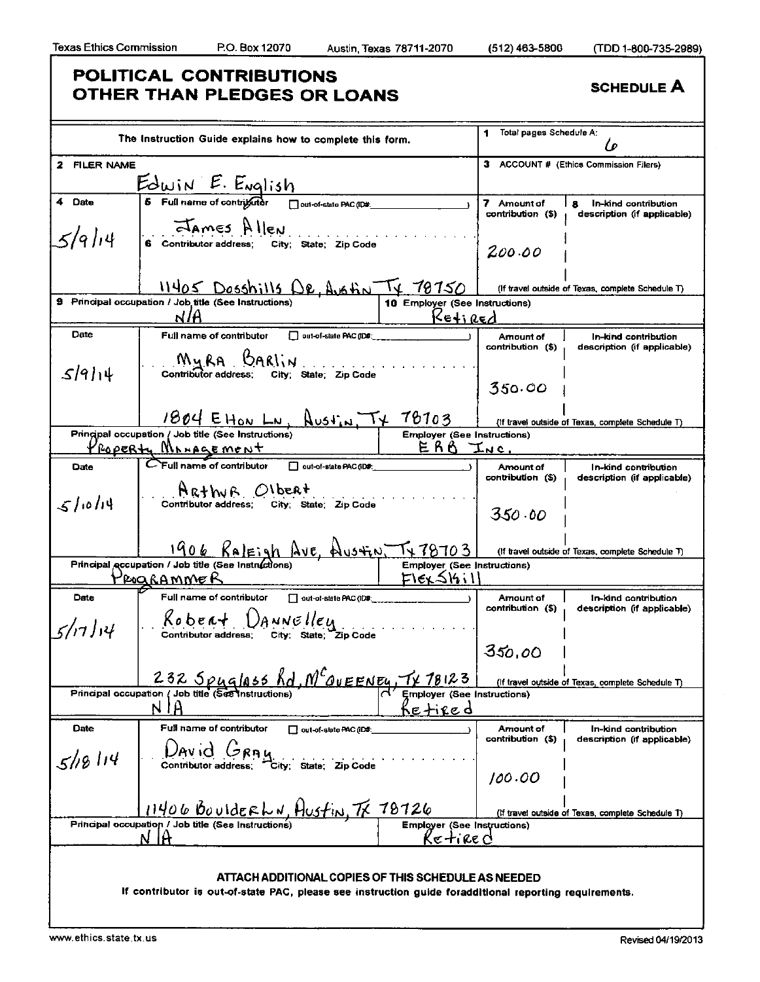### **POLITICAL CONTRIBUTIONS OTHER THAN PLEDGES OR LOANS** SCHEDULE A

|                 | The Instruction Guide explains how to complete this form.                                                                                               |                                                        | Total pages Schedule A:<br>1          | l o                                                      |
|-----------------|---------------------------------------------------------------------------------------------------------------------------------------------------------|--------------------------------------------------------|---------------------------------------|----------------------------------------------------------|
| 2 FILER NAME    |                                                                                                                                                         |                                                        |                                       | 3 ACCOUNT # (Ethics Commission Filers)                   |
|                 | $E\frac{\partial u_i \wedge E. E \vee \partial}{\partial s}$ Full name of contriguints $\frac{1}{\sum_{\text{out-of-state PAC}(\text{DM})}}$            |                                                        |                                       |                                                          |
| 4 Date          |                                                                                                                                                         |                                                        | 7 Amount of<br>contribution (\$)      | 8<br>In-kind contribution<br>description (if applicable) |
| 5/9/14          | <b>Exames</b> Allen<br>6 Contributor address; City; State; Zip Code                                                                                     |                                                        | 200.00                                |                                                          |
|                 | 11405 Dosshills DR, Austin TX 70750                                                                                                                     |                                                        |                                       | (If travel outside of Texas, complete Schedule T)        |
|                 | 9 Principal occupation / Job title (See Instructions)<br>NIA                                                                                            | 10 Employer (See Instructions)<br>$K$ eti Red          |                                       |                                                          |
| Date            | Full name of contributor<br>$\Box$ out-of-state PAC (ID#:                                                                                               |                                                        | Amount of                             | In-kind contribution                                     |
| 5914            | MyRA BARIN<br>Contributor address; City; State; Zip Code                                                                                                |                                                        | contribution (\$)                     | description (if applicable)                              |
|                 |                                                                                                                                                         |                                                        | 350.00                                |                                                          |
|                 | $1804$ EHON LN, AUSTIN, $\tau_{\star}$ 78703                                                                                                            |                                                        |                                       | (If travel outside of Texas, complete Schedule T)        |
|                 | Principal occupation / Job title (See Instructions)                                                                                                     | <b>Employer (See Instructions)</b>                     |                                       |                                                          |
|                 | ROPERty Management                                                                                                                                      | $ERO$ Inc.                                             |                                       |                                                          |
| Date            | CFull name of contributor<br>out-of-state PAC (ID#:                                                                                                     |                                                        | <b>Amount</b> of<br>contribution (\$) | In-kind contribution<br>description (if applicable)      |
| 51014           | $AR + WB$ OI bent<br>Contributor address; City; State: Zip Code                                                                                         |                                                        | 350.00                                |                                                          |
|                 | <u>1906 Raleigh Ave, Austin, Tx 78703</u>                                                                                                               |                                                        |                                       | (If travel outside of Texas, complete Schedule T)        |
|                 | Principal accupation / Job title (See Instructions)                                                                                                     | <b>Employer (See Instructions)</b>                     |                                       |                                                          |
|                 | <u> Programmer</u>                                                                                                                                      | $F\left(\frac{\epsilon}{\Delta} \mathcal{G}_1 \right)$ |                                       |                                                          |
| Date<br>5/17/14 | Full name of contributor<br>out-of-state PAC (ID#:<br>$R_0$ be $\alpha + \bigcup_{A} M N \in \mathcal{U}$<br>Contributor address; city; state; zip Code |                                                        | Amount of<br>contribution (\$)        | In-kind contribution<br>description (if applicable)      |
|                 |                                                                                                                                                         |                                                        | 350,00                                |                                                          |
|                 | 232 Spyglass Rd, MCQUEENEY, TX 18123<br>Principal occupation / Job title (See Instructions)                                                             | Employer (See Instructions)                            |                                       | (If travel outside of Texas, complete Schedule T)        |
|                 | Ĥ<br>N                                                                                                                                                  | <u>Ketired</u>                                         |                                       |                                                          |
| Date            | Full name of contributor<br>out-of-state PAC (ID#:<br>David<br><b>JRAU</b>                                                                              |                                                        | Amount of<br>contribution (\$)        | In-kind contribution<br>description (if applicable)      |
| 5/18114         | Contributor address:<br>City; State; Zip Code                                                                                                           |                                                        | 100.00                                |                                                          |
|                 | 11406 BoulderLN, Hustin, TX 78726                                                                                                                       |                                                        |                                       | (If travel outside of Texas, complete Schedule T)        |
|                 | Principal occupation / Job title (See Instructions)                                                                                                     | <b>Employer (See Instructions)</b>                     |                                       |                                                          |
|                 | N IA                                                                                                                                                    | Ke tire d                                              |                                       |                                                          |
|                 |                                                                                                                                                         |                                                        |                                       |                                                          |
|                 |                                                                                                                                                         |                                                        |                                       |                                                          |
|                 | ATTACH ADDITIONAL COPIES OF THIS SCHEDULE AS NEEDED                                                                                                     |                                                        |                                       |                                                          |
|                 | If contributor is out-of-state PAC, please see instruction guide foradditional reporting requirements.                                                  |                                                        |                                       |                                                          |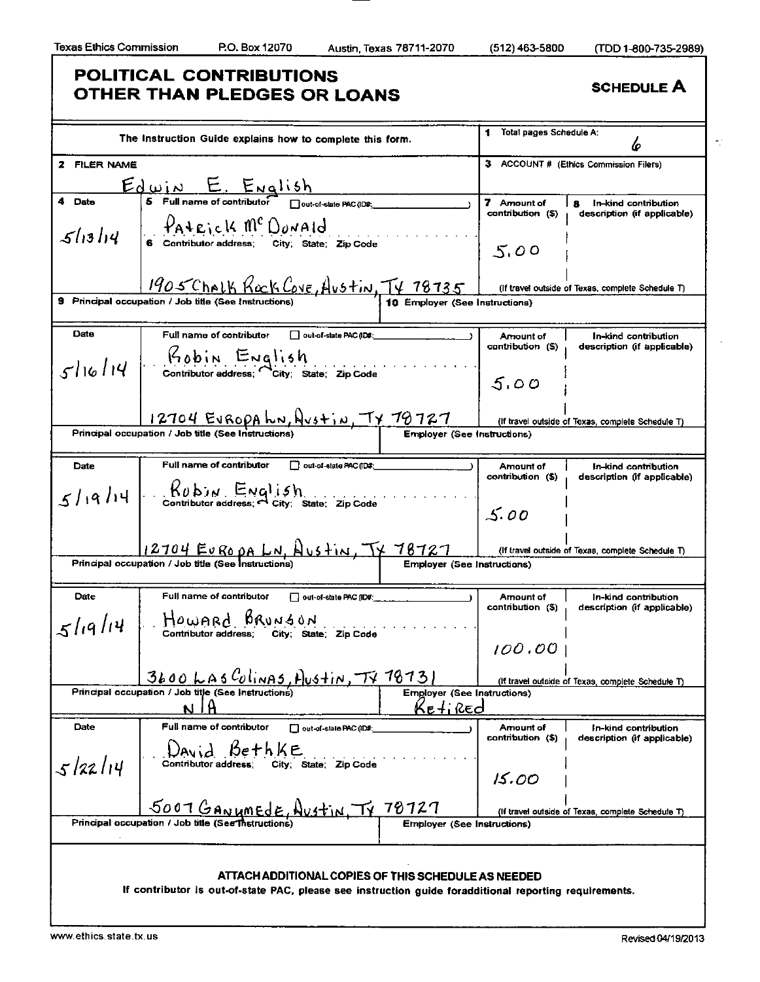k)

# **POLITICAL CONTRIBUTIONS OTHER THAN PLEDGES OR LOANS** SCHEDULE A

|              | The Instruction Guide explains how to complete this form.                                                                                                                                                                                                                                                                                                   |                                    | Total pages Schedule A:<br>1 | 6                                                 |
|--------------|-------------------------------------------------------------------------------------------------------------------------------------------------------------------------------------------------------------------------------------------------------------------------------------------------------------------------------------------------------------|------------------------------------|------------------------------|---------------------------------------------------|
| 2 FILER NAME |                                                                                                                                                                                                                                                                                                                                                             |                                    |                              | 3 ACCOUNT # (Ethics Commission Filers)            |
|              | $E$<br>$\frac{1}{15}$ Full name of contributor $\frac{1}{15}$ out-of-state PAC (IDS:                                                                                                                                                                                                                                                                        |                                    |                              |                                                   |
| 4 Date       |                                                                                                                                                                                                                                                                                                                                                             |                                    | 7 Amount of                  | In-kind contribution                              |
| 51314        | PATRICK MCDONALD<br>Contributor address; City; State; Zip Code                                                                                                                                                                                                                                                                                              |                                    | contribution (\$)            | description (if applicable)                       |
|              |                                                                                                                                                                                                                                                                                                                                                             |                                    | 5.00                         |                                                   |
|              | 1905 Chalk Kock Cove, Austin, TV 78735                                                                                                                                                                                                                                                                                                                      |                                    |                              | (If travel outside of Texas, complete Schedule T) |
|              | 9 Principal occupation / Job title (See Instructions)                                                                                                                                                                                                                                                                                                       | 10 Employer (See Instructions)     |                              |                                                   |
| Date         | Full name of contributor<br>Out-of-state PAC (ID#:                                                                                                                                                                                                                                                                                                          |                                    | Amount of                    | In-kind contribution                              |
| 51614        | Kobin English<br>Contributor address; City; State; Zip Code                                                                                                                                                                                                                                                                                                 |                                    | contribution (\$)            | description (if applicable)                       |
|              |                                                                                                                                                                                                                                                                                                                                                             |                                    | 5.00                         |                                                   |
|              | $\frac{12704 E\sqrt{6000 h} \text{h} \text{N}}{1 E\sqrt{600 h}}$ $\frac{1}{\sqrt{600 h}}$ $\frac{1}{\sqrt{600 h}}$ $\frac{1}{\sqrt{600 h}}$ $\frac{1}{\sqrt{600 h}}$ $\frac{1}{\sqrt{600 h}}$ $\frac{1}{\sqrt{600 h}}$ $\frac{1}{\sqrt{600 h}}$ $\frac{1}{\sqrt{600 h}}$ $\frac{1}{\sqrt{600 h}}$ $\frac{1}{\sqrt{600 h}}$ $\frac{1}{\sqrt{600 h}}$ $\frac$ |                                    |                              | (If travel outside of Texas, complete Schedule T) |
|              | Principal occupation / Job title (See Instruction                                                                                                                                                                                                                                                                                                           |                                    |                              |                                                   |
|              |                                                                                                                                                                                                                                                                                                                                                             |                                    |                              |                                                   |
| Date         | Full name of contributor<br>out-of-state PAC (ID#:                                                                                                                                                                                                                                                                                                          |                                    | Amount of                    | In-kind contribution                              |
|              |                                                                                                                                                                                                                                                                                                                                                             |                                    | contribution (\$)            | description (if applicable)                       |
| 5/19/14      | $R_0$ b $M$ ENGl i 5 h<br>Contributor address; $\sim$ City; State; Zip Code                                                                                                                                                                                                                                                                                 |                                    |                              |                                                   |
|              |                                                                                                                                                                                                                                                                                                                                                             |                                    | 5.00                         |                                                   |
|              |                                                                                                                                                                                                                                                                                                                                                             |                                    |                              |                                                   |
|              | <u>12704 EUROPA LN, Austin, TX 78727</u>                                                                                                                                                                                                                                                                                                                    |                                    |                              | (If travel outside of Texas, complete Schedule T) |
|              | Principal occupation / Job title (See Instructions)                                                                                                                                                                                                                                                                                                         | <b>Employer (See Instructions)</b> |                              |                                                   |
|              |                                                                                                                                                                                                                                                                                                                                                             |                                    |                              |                                                   |
| Date         | Full name of contributor<br>out-of-state PAC (ID#:                                                                                                                                                                                                                                                                                                          |                                    | Amount of                    | In-kind contribution                              |
| 5/19/14      | Howard Brunson                                                                                                                                                                                                                                                                                                                                              |                                    | contribution (\$)            | description (if applicable)                       |
|              | Contributor address; City; State; Zip Code                                                                                                                                                                                                                                                                                                                  |                                    |                              |                                                   |
|              |                                                                                                                                                                                                                                                                                                                                                             |                                    | 100.00                       |                                                   |
|              | <u>3600 LAS Colinas, Austin, TV 78731</u>                                                                                                                                                                                                                                                                                                                   |                                    |                              | (If travel outside of Texas, complete Schedule T) |
|              | Principal occupation / Job title (See Instructions)                                                                                                                                                                                                                                                                                                         | <b>Employer (See Instructions)</b> |                              |                                                   |
|              | N                                                                                                                                                                                                                                                                                                                                                           | <u>Ke+iRed</u>                     |                              |                                                   |
| Date         | Full name of contributor<br>out-of-slate PAC (ID#:                                                                                                                                                                                                                                                                                                          |                                    | Amount of                    | In-kind contribution                              |
|              |                                                                                                                                                                                                                                                                                                                                                             |                                    | contribution (\$)            | description (if applicable)                       |
|              | $16e + F$<br>Contributor address;                                                                                                                                                                                                                                                                                                                           |                                    |                              |                                                   |
| 5/22/14      | City; State; Zip Code                                                                                                                                                                                                                                                                                                                                       |                                    | 15.00                        |                                                   |
|              |                                                                                                                                                                                                                                                                                                                                                             |                                    |                              |                                                   |
|              | 5007 GANUMEDE, Austin,                                                                                                                                                                                                                                                                                                                                      | 78727                              |                              |                                                   |
|              | Principal occupation / Job title (See Thetructions                                                                                                                                                                                                                                                                                                          | <b>Employer (See Instructions)</b> |                              | (If travel outside of Texas, complete Schedule T) |
|              |                                                                                                                                                                                                                                                                                                                                                             |                                    |                              |                                                   |
|              |                                                                                                                                                                                                                                                                                                                                                             |                                    |                              |                                                   |
|              |                                                                                                                                                                                                                                                                                                                                                             |                                    |                              |                                                   |
|              | ATTACH ADDITIONAL COPIES OF THIS SCHEDULE AS NEEDED<br>If contributor is out-of-state PAC, please see instruction guide foradditional reporting requirements.                                                                                                                                                                                               |                                    |                              |                                                   |
|              |                                                                                                                                                                                                                                                                                                                                                             |                                    |                              |                                                   |
|              |                                                                                                                                                                                                                                                                                                                                                             |                                    |                              |                                                   |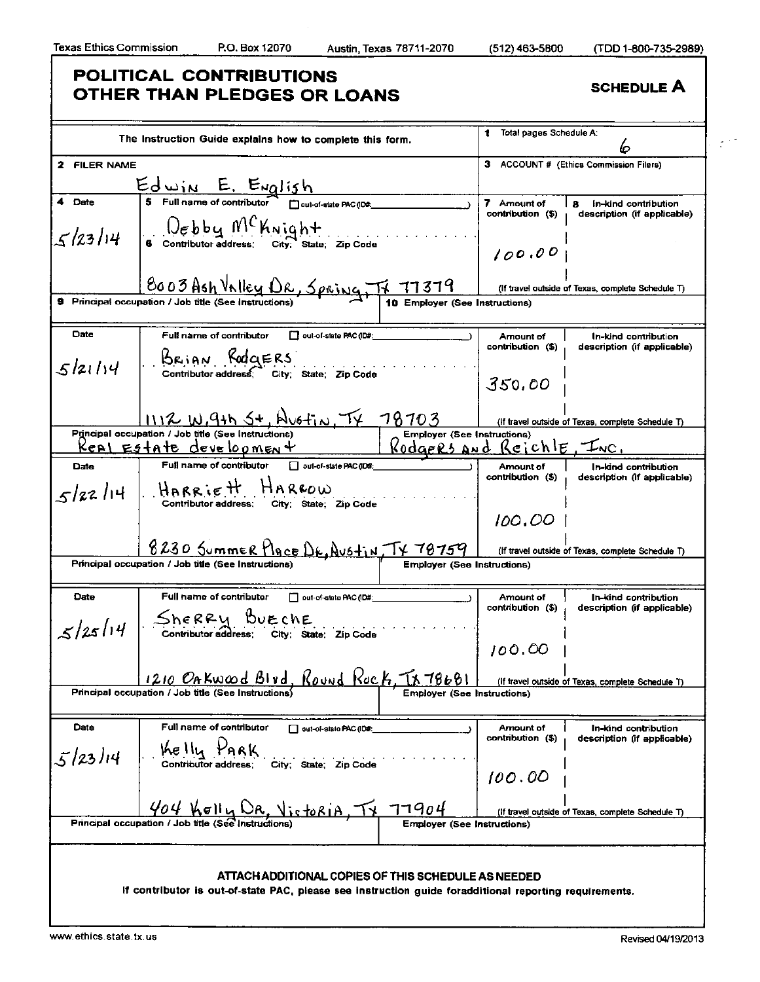$\mathcal{I}^{(1,2)}$ 

# **POLITICAL CONTRIBUTIONS OTHER THAN PLEDGES OR LOANS** SCHEDULE A

|              | The Instruction Guide explains how to complete this form.                                                                    | Total pages Schedule A:                                                                      |
|--------------|------------------------------------------------------------------------------------------------------------------------------|----------------------------------------------------------------------------------------------|
|              |                                                                                                                              | 6                                                                                            |
| 2 FILER NAME |                                                                                                                              | з<br><b>ACCOUNT # (Ethics Commission Filers)</b>                                             |
|              | $Ed$ win E. English<br>Is Full name of contributor $\Box$ out-of-state PAC(IDS.                                              |                                                                                              |
| 4 Date       |                                                                                                                              | 7 Amount of<br>In-kind contribution<br>я<br>contribution (\$)<br>description (if applicable) |
|              | $\int_{\epsilon}$ $\int_{\epsilon}$ b b $\mu$ $M^C$ $\mu$ N i $\alpha$ $h$ +<br>6 Contributor address: City: State: Zip Code |                                                                                              |
| 5/23/14      |                                                                                                                              | 100.00                                                                                       |
|              |                                                                                                                              |                                                                                              |
|              | <u>BOO3Ash Valley DR, Spring, IF 77379</u>                                                                                   | (If travel outside of Texas, complete Schedule T)                                            |
|              | 9 Principal occupation / Job title (See Instructions)<br>10 Employer (See Instructions)                                      |                                                                                              |
|              |                                                                                                                              |                                                                                              |
| Date         | Full name of contributor<br>out-of-state PAC (ID#:                                                                           | Amount of<br>In-kind contribution<br>contribution (\$)<br>description (if applicable)        |
|              | BRIAN RODGERS                                                                                                                |                                                                                              |
| 5/21/14      | Contributor address, City; State; Zip Code                                                                                   | 350,00                                                                                       |
|              |                                                                                                                              |                                                                                              |
|              | <u>1112 W.9th St, Hustin, TX 78703</u>                                                                                       | (If travel outside of Texas, complete Schedule T)                                            |
|              | Principal occupation / Job title (See Instructions)<br><b>Employer (See Instructions)</b>                                    |                                                                                              |
|              | <u>Keal Egtate develoomen +</u>                                                                                              | Rodgers and Reichle, INC.                                                                    |
| Date         | Full name of contributor<br>out-of-state PAC (ID#:                                                                           | Amount of<br>In-kind contribution                                                            |
|              | $5/22/14$ HARRIETT HARROW                                                                                                    | contribution (\$)<br>description (if applicable)                                             |
|              | Contributor address; City; State; Zip Code                                                                                   |                                                                                              |
|              |                                                                                                                              | 100.00                                                                                       |
|              | <u>8230 Summer Hace Dr. Austin, TX 78759</u>                                                                                 | (If travel outside of Texas, complete Schedule T)                                            |
|              | Principal occupation / Job title (See Instructions)<br><b>Employer (See Instructions)</b>                                    |                                                                                              |
|              |                                                                                                                              |                                                                                              |
| Date         | Full name of contributor<br>out-of-state PAC (ID#:                                                                           | Amount of<br>In-kind contribution                                                            |
|              | Sherry Burche<br>Contributor address; City; State; Zip Code                                                                  | contribution (\$)<br>description (if applicable)                                             |
| 5/25/14      |                                                                                                                              |                                                                                              |
|              |                                                                                                                              | 100.00                                                                                       |
|              | 1210 OAKwood Blvd, Round Rock, TX 78681                                                                                      |                                                                                              |
|              | Principal occupation / Job title (See Instructions)<br><b>Employer (See Instructions)</b>                                    | (if travel outside of Texas, complete Schedule T)                                            |
|              |                                                                                                                              |                                                                                              |
| Date         | Full name of contributor<br>out-of-state PAC (ID#:                                                                           | Amount of<br>In-kind contribution                                                            |
|              | Kelly PARK                                                                                                                   | contribution (\$)<br>description (if applicable)                                             |
| 5/23/14      | Contributor address:<br>City; State; Zip Code                                                                                |                                                                                              |
|              |                                                                                                                              | 100.00                                                                                       |
|              | 404 Kelly DR, Victoria<br>77904                                                                                              |                                                                                              |
|              | Principal occupation / Job title (See Instructions<br><b>Employer (See Instructions)</b>                                     | (If travel outside of Texas, complete Schedule T)                                            |
|              |                                                                                                                              |                                                                                              |
|              |                                                                                                                              |                                                                                              |
|              | ATTACH ADDITIONAL COPIES OF THIS SCHEDULE AS NEEDED                                                                          |                                                                                              |
|              | If contributor is out-of-state PAC, please see instruction guide foradditional reporting requirements.                       |                                                                                              |
|              |                                                                                                                              |                                                                                              |
|              |                                                                                                                              |                                                                                              |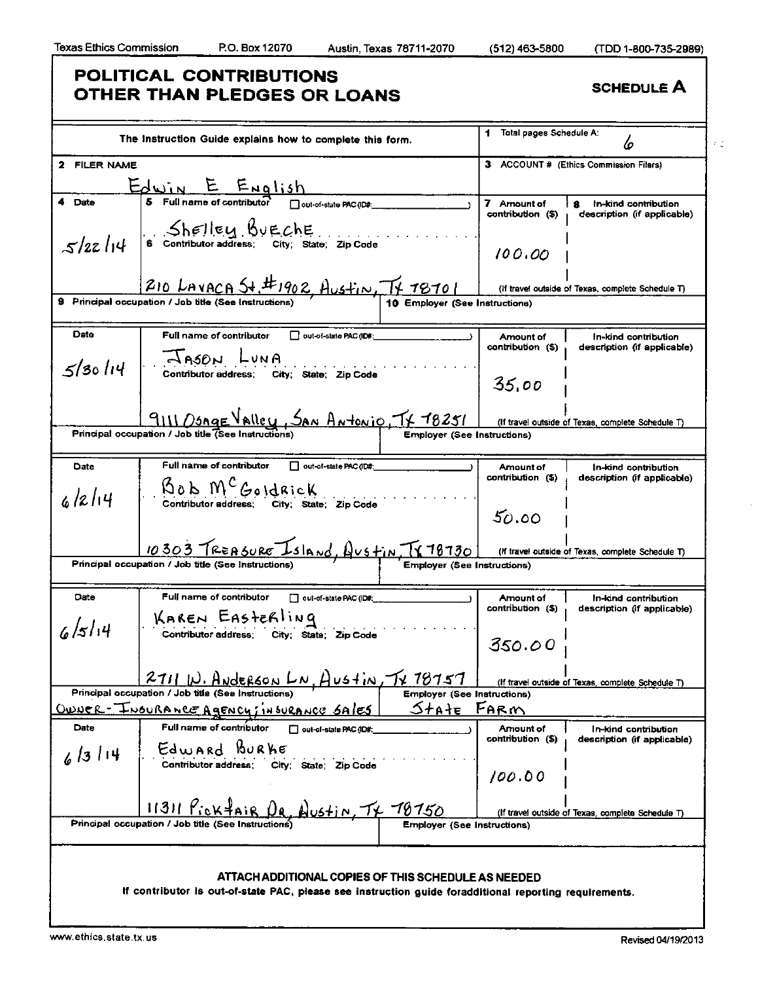### **POLITICAL CONTRIBUTIONS OTHER THAN PLEDGES OR LOANS** SCHEDULE A 1 Total pages Schedule A: The Instruction Guide explains how to complete this form. ίo  $\mathcal{F}^{\mathcal{A}}_{\mathcal{A} \mathcal{A}}$ 2 FILER NAME 3 ACCOUNT # (Ethics Commission Filers)  $E_{\text{WIN}} E_{\text{Ng}1,3h}$ 4 Date 7 Amount of  $18$  In-kind contribution<br>contribution (\$) description (if applicate description (if applicable) . .Shelley .BuE.chE.  $s/2z/14$  $\mathsf{I}$ 6 Contributor address; City; State; Zip Code  $100,00$  $210$  LAVACA St. #1902, Austin, TV 78701 (If travel outside of Texas, complete Schedule T) 9 Principal occupation / Job title (See Instructions) 0 Employer (See Instructions) Date **Full name of contributor**  $\Box$  out-of-state PAC (ID#) Amount of | fn-kind contribution<br>contribution (\$) | description (if applicat description (if applicable) **AASON LUNA**  $5/30114$ Contributor address; City; State; Zip Code 35.00 **PRINT DESCRIPTION ANTELLY SAN ANTELLY FOLLY FILED IN THE CONSTRUCT OF A PRINCIPAL CONSTRUCT CONSTRUCT CONSTRUCT**<br>Principal occupation / Job title (See Instructions) (If travel outside of Texas, complete Schedule T) Date **Full name of contributor**  $\Box$  out-of-state PAC(ID#; Amount of | In-kind contribution<br>contribution (\$) , description (if applicate description (if applicable)  $\text{Sok }M^{\mathcal{C}}$ Goldrick  $6/2/14$ I Contributor address; City; State; Zip Code  $50.00$ I (If travel outside of Texas, complete Schedule T) 10 30 3 TREASURE IS IA NO, LUS FIN, TY 78730 (If travel<br>Principal occupation / Job title (See Instructions) | Employer (See Instructions) Date | Full name of contributor | out-of-state PAC (ID#: Amount of | In-kind contribution<br>contribution (\$) description (f applicate description (if applicable) KAREN EASTERLING<br>Contributor address; City; State; Zip Code  $6/5/14$ 350.00 |<br>If travel outside of Texas, complete Schedule T)| **2711 W. Anderson LN, Austin, TV 18151** (If travel<br>Principal occupation / Job title (See Instructions) Employer (See Instructions) <u>Stałe</u> <u> OWNER - INSURANCE AGENCY; INSURANCE</u> <u>Farm</u> Date **Full name of contributor** • out-of-state PAC (ID#: Amount of In-kind contribution contribution (\$) description (if applicable) Edward Burke<br>Contributor address; City; State; Zip Code  $6/3114$ I /oo.oo I  $\frac{11311 \frac{\cancel{9}}{\cancel{10}} \times \cancel{4} \text{Ai} \cdot \cancel{9}}{\text{Principal occupation / Job title (See Instantuctions)}}$ (If travel outside of Texas, complete Schedule T)  $\sum_{i=1}^{n}$ ATTACH ADDITIONAL COPIES OF THIS SCHEDULE AS NEEDED If contributor Is out-of-state PAC, please see Instruction guide foraddltlonal reporting requirements.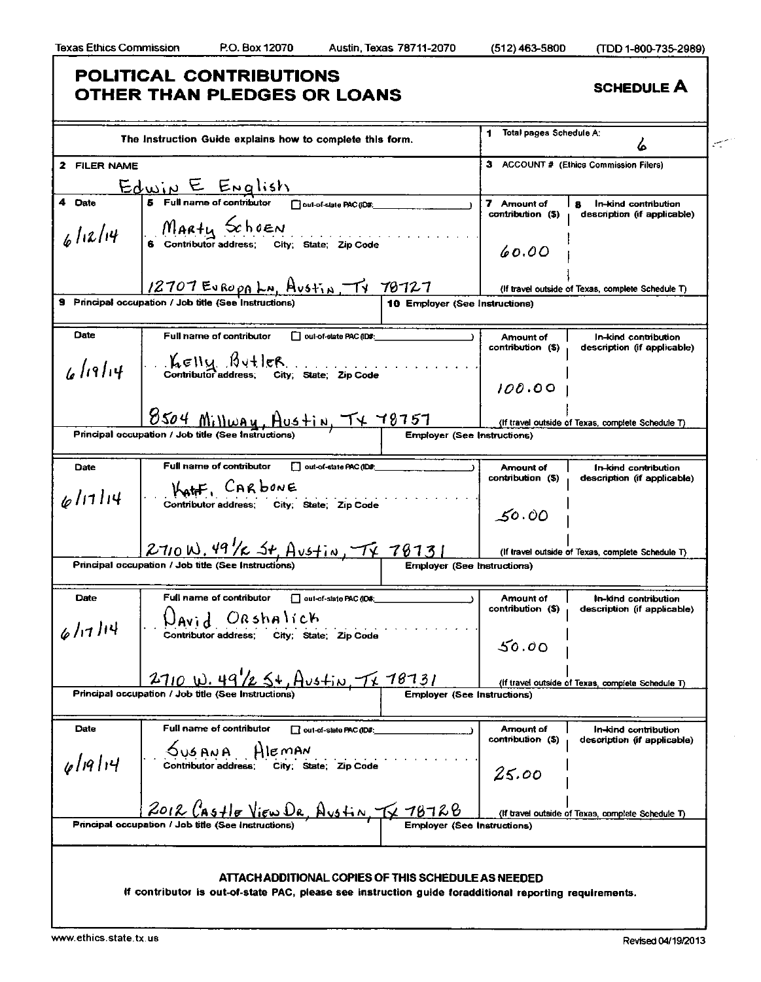# **POLITICAL CONTRIBUTIONS OTHER THAN PLEDGES OR LOANS** SCHEDULE A

|              | The Instruction Guide explains how to complete this form.                                                                                                                                                           |                                    | Total pages Schedule A:          | سيس                                                                 |
|--------------|---------------------------------------------------------------------------------------------------------------------------------------------------------------------------------------------------------------------|------------------------------------|----------------------------------|---------------------------------------------------------------------|
|              |                                                                                                                                                                                                                     |                                    |                                  | 6                                                                   |
| 2 FILER NAME |                                                                                                                                                                                                                     |                                    |                                  | 3 ACCOUNT # (Ethics Commission Filers)                              |
|              | $\underbrace{\text{Edwin}}_{\text{6} \text{ Full name of contributor}} \underbrace{\text{End}}_{\text{Dout-of-state PAC}(DB)}$                                                                                      |                                    |                                  |                                                                     |
| 4 Date       |                                                                                                                                                                                                                     |                                    | 7 Amount of<br>contribution (\$) | $\mathbf{a}$<br>In-kind contribution<br>description (if applicable) |
|              |                                                                                                                                                                                                                     |                                    | 60.00                            |                                                                     |
|              |                                                                                                                                                                                                                     |                                    |                                  | (If travel outside of Texas, complete Schedule T)                   |
|              |                                                                                                                                                                                                                     | 10 Employer (See Instructions)     |                                  |                                                                     |
|              |                                                                                                                                                                                                                     |                                    |                                  |                                                                     |
| Date         | Full name of contributor<br>□ out-of-elate PAC (ID#:                                                                                                                                                                |                                    | Amount of<br>contribution (\$)   | In-kind contribution<br>description (if applicable)                 |
|              | $6/19/14$ . $\frac{\cancel{h} \in \mathbb{N}_{\mathcal{U}} \cdot \cancel{\cancel{h}} \cdot \frac{1}{2} \cdot \cancel{\cancel{h}}}{\text{Continuity} \cdot \text{address}}$ . State; $\frac{2}{p} \cdot \text{Code}$ |                                    | 100.00                           |                                                                     |
|              | 8504 Millway, Austin, TX 78757                                                                                                                                                                                      |                                    |                                  | (If travel outside of Texas, complete Schedule T)                   |
|              | Principal occupation / Job title (See Instructions                                                                                                                                                                  | <b>Employer (See Instructions)</b> |                                  |                                                                     |
|              |                                                                                                                                                                                                                     |                                    |                                  |                                                                     |
| Date         | Full name of contributor<br>out-of-state PAC (ID#<br>KATF, CARbonE                                                                                                                                                  |                                    | Amount of<br>contribution (\$)   | In-kind contribution<br>description (if applicable)                 |
| 6/17/14      | Contributor address; City; State; Zip Code                                                                                                                                                                          |                                    | 50.00                            |                                                                     |
|              | $2710 \text{ W}$ , 49 / $\epsilon$ $54$ , Austin, TV, 78731                                                                                                                                                         |                                    |                                  | (If travel outside of Texas, complete Schedule T)                   |
|              | Principal occupation / Job title (See Instructions)                                                                                                                                                                 | <b>Employer (See Instructions)</b> |                                  |                                                                     |
|              |                                                                                                                                                                                                                     |                                    |                                  |                                                                     |
| Date         | Full name of contributor<br>out-of-state PAC (ID#:                                                                                                                                                                  |                                    | Amount of<br>contribution (\$)   | In-kind contribution<br>description (if applicable)                 |
| 6/17/14      | $\bigcup_{A} \bigcup_{i}$ $\bigcup_{B} \bigcup_{B} \bigcup_{B} \bigcup_{B} \bigcup_{B} \bigcup_{B} \bigcup_{C} \bigcup_{B} \bigcup_{C}$ Contributor address; city; state; zip Code                                  |                                    | 50.00                            |                                                                     |
|              |                                                                                                                                                                                                                     |                                    |                                  |                                                                     |
|              | 2710 W. 49/2 5+, Austin, Tx 78731<br>Principal occupation / Job title (See Instructions)                                                                                                                            | <b>Employer (See Instructions)</b> |                                  | (If travel outside of Texas, complete Schedule T)                   |
|              |                                                                                                                                                                                                                     |                                    |                                  |                                                                     |
| Date         | <b>Full name of contributor</b><br>out-of-slate PAC (ID#:<br>HIEMAN                                                                                                                                                 |                                    | Amount of<br>contribution (\$)   | In-kind contribution<br>description (if applicable)                 |
| 61914        | Contributor address:<br>City; State; Zip Code                                                                                                                                                                       |                                    | 25.00                            |                                                                     |
|              | 2012 LAStle View DR.                                                                                                                                                                                                | <u>Austin TV 78728</u>             |                                  | (If travel outside of Texas, complete Schedule T)                   |
|              | Principal occupation / Job title (See Instructions                                                                                                                                                                  | Emblover                           | (See Instructions)               |                                                                     |
|              |                                                                                                                                                                                                                     |                                    |                                  |                                                                     |
|              | ATTACH ADDITIONAL COPIES OF THIS SCHEDULE AS NEEDED<br>If contributor is out-of-state PAC, please see instruction guide foradditional reporting requirements.                                                       |                                    |                                  |                                                                     |
|              |                                                                                                                                                                                                                     |                                    |                                  |                                                                     |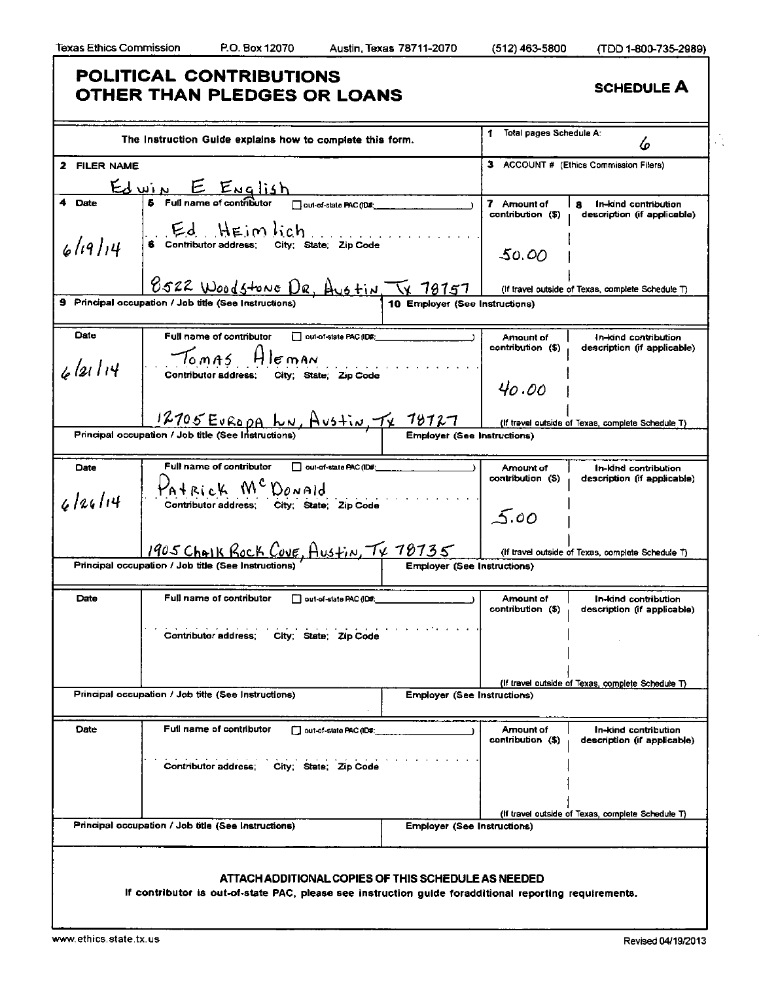٦

|              | The Instruction Guide explains how to complete this form.                        |                                    | Total pages Schedule A:<br>1. | 6                                                 |
|--------------|----------------------------------------------------------------------------------|------------------------------------|-------------------------------|---------------------------------------------------|
| 2 FILER NAME |                                                                                  |                                    |                               | 3 ACCOUNT # (Ethics Commission Filers)            |
|              |                                                                                  |                                    |                               |                                                   |
| 4 Date       | $\underbrace{\text{Edwin}}_{\text{5} \text{ Full name of configuration}}$        |                                    | 7 Amount of                   | In-kind contribution<br>я                         |
|              |                                                                                  |                                    | contribution (\$)             | description (if applicable)                       |
|              | $E_d$ $H \in \mathfrak{m}$ $hch$<br>6 Contributor address; City; State; Zip Code |                                    |                               |                                                   |
| 6(19)14      |                                                                                  |                                    | 50.00                         |                                                   |
|              |                                                                                  |                                    |                               |                                                   |
|              | 8522 Woodstone DR, Austin, TV 78757                                              |                                    |                               | (If travel outside of Texas, complete Schedule T) |
|              | 9 Principal occupation / Job title (See Instructions)                            | 10 Employer (See Instructions)     |                               |                                                   |
| Date         | Full name of contributor<br>out-of-state PAC (ID#:                               |                                    | Amount of                     | In-kind contribution                              |
|              |                                                                                  |                                    | contribution (\$)             | description (if applicable)                       |
| 6/21/14      | $T_{0.0015}$<br>$H$ $\varepsilon$ man                                            |                                    |                               |                                                   |
|              | Contributor address; City; State; Zip Code                                       |                                    | 40.00                         |                                                   |
|              |                                                                                  |                                    |                               |                                                   |
|              | $\frac{12705E0 Ev Ro pA h \sim A v 5 + i x, \frac{74.78771}{100} (If travel 1$   |                                    |                               | (If travel outside of Texas, complete Schedule T) |
|              | Principal occupation / Job title (See Instructions                               |                                    |                               |                                                   |
| Date         | Full name of contributor<br>out-of-state PAC (ID#                                |                                    | Amount of                     | In-kind contribution                              |
|              | PATRICK MCDONALD                                                                 |                                    | contribution (\$)             | description (if applicable)                       |
| 6126114      | Contributor address, City; State; Zip Code                                       |                                    |                               |                                                   |
|              |                                                                                  |                                    | 00.ک                          |                                                   |
|              |                                                                                  |                                    |                               |                                                   |
|              | 1905 Chalk Rock Cove, Austin, TX 78735                                           |                                    |                               | (if travel outside of Texas, complete Schedule T) |
|              | Principal occupation / Job title (See Instructions)                              | <b>Employer (See Instructions)</b> |                               |                                                   |
| Date         | Full name of contributor<br>out-of-state PAC (ID#:                               |                                    | Amount of                     | In-kind contribution                              |
|              |                                                                                  |                                    | contribution (\$)             | description (if applicable)                       |
|              | Contributor address;<br>City; State; Zip Code                                    |                                    |                               |                                                   |
|              |                                                                                  |                                    |                               |                                                   |
|              |                                                                                  |                                    |                               |                                                   |
|              | Principal occupation / Job title (See Instructions)                              | <b>Employer (See Instructions)</b> |                               | (If travel outside of Texas, complete Schedule T) |
|              |                                                                                  |                                    |                               |                                                   |
| Date         | Full name of contributor<br>out-of-state PAC (ID#:                               |                                    | Amount of                     | In-kind contribution                              |
|              |                                                                                  |                                    | contribution (\$)             | description (if applicable)                       |
|              | <b>Contributor address:</b><br>City; State; Zip Code                             |                                    |                               |                                                   |
|              |                                                                                  |                                    |                               |                                                   |
|              |                                                                                  |                                    |                               |                                                   |
|              | Principal occupation / Job title (See Instructions)                              | <b>Employer (See Instructions)</b> |                               | (If travel outside of Texas, complete Schedule T) |
|              |                                                                                  |                                    |                               |                                                   |
|              |                                                                                  |                                    |                               |                                                   |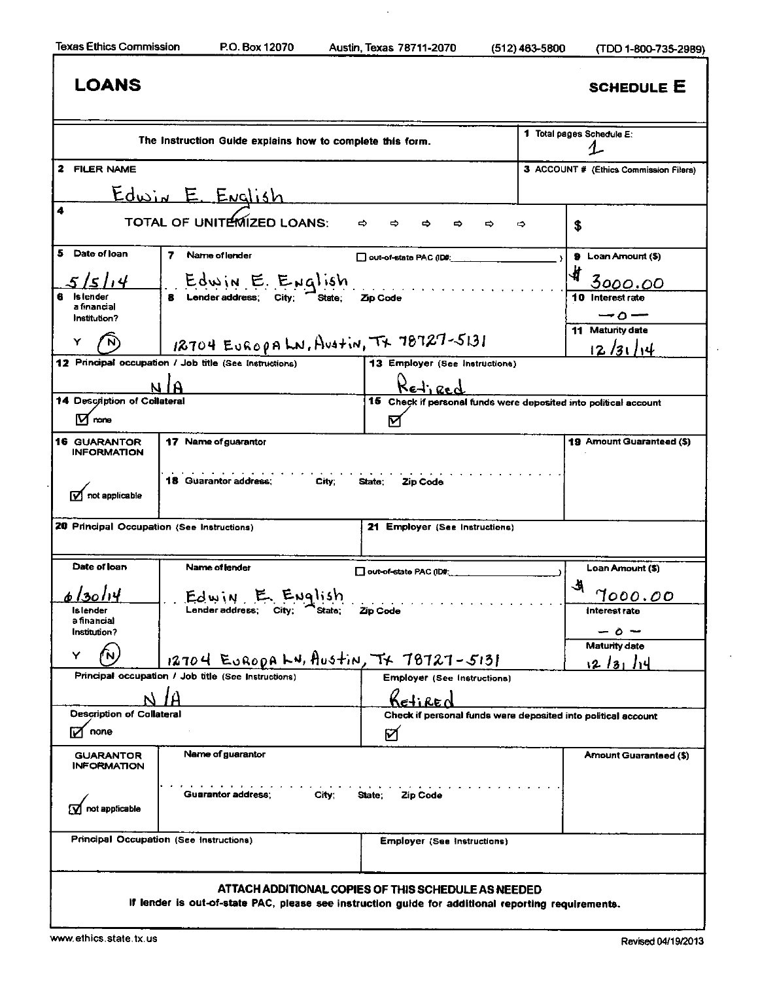Texas Ethics Commission RO. Box 12070 Austin, Texas 78711-2070 (512)463-5800 (TDD 1-800-735-2989)

|                                               | The Instruction Guide explains how to complete this form.                                            |                                                                    |   | 1 Total pages Schedule E:              |
|-----------------------------------------------|------------------------------------------------------------------------------------------------------|--------------------------------------------------------------------|---|----------------------------------------|
| 2 FILER NAME                                  |                                                                                                      |                                                                    |   | 3 ACCOUNT # (Ethics Commission Filers) |
|                                               | Edwin E. English                                                                                     |                                                                    |   |                                        |
| 4                                             | TOTAL OF UNITEMIZED LOANS:                                                                           | ⇨                                                                  | ⇨ | \$                                     |
| 5<br>Date of loan                             | 7 Name of lender                                                                                     | out-of-state PAC (ID#:                                             |   | 9 Loan Amount (\$)                     |
| 5/5/14                                        | Edwin E. English                                                                                     |                                                                    |   | 4<br><u>3000.00</u>                    |
| Is lender<br>a financial<br>Institution?      | <b>8</b> Lender address; City; State;                                                                | <i>Liberal Code</i><br>Zip Code                                    |   | 10 Interest rate<br>$-\circ$ $-$       |
| Y                                             | $18704$ EUROPALN, AUSTIN, TT 78727-5131                                                              |                                                                    |   | 11 Maturity date<br>12/31/14           |
|                                               | 12 Principal occupation / Job title (See Instructions)                                               | 13 Employer (See Instructions)                                     |   |                                        |
|                                               |                                                                                                      | Retired                                                            |   |                                        |
| 14 Description of Collateral                  |                                                                                                      | 15 Check if personal funds were deposited into political account   |   |                                        |
|                                               |                                                                                                      |                                                                    |   |                                        |
| IVI none                                      |                                                                                                      | ⊠                                                                  |   |                                        |
| <b>INFORMATION</b><br>$\nabla$ not applicable | 17 Name of guarantor<br>18 Guarantor address;<br>City;<br>20 Principal Occupation (See Instructions) | State;<br>Zip Code<br>21 Employer (See Instructions)               |   |                                        |
|                                               |                                                                                                      |                                                                    |   |                                        |
| <b>16 GUARANTOR</b><br>Date of loan           | Name of lender                                                                                       | out-of-state PAC (ID#:                                             |   | Loan Amount (\$)                       |
| 6 l30 l14                                     | Edwin E English                                                                                      |                                                                    |   | ᅯ<br>7000.00                           |
| ls lender<br>a financial                      | Lender address; City;<br>State:                                                                      | Zip Code                                                           |   | Interest rate                          |
| Institution?                                  |                                                                                                      |                                                                    |   | - ہ -<br><b>Maturity date</b>          |
| Y                                             | 12704 EURODA LN, AUStIN, TX 78727-5131                                                               |                                                                    |   | 121311                                 |
|                                               | Principal occupation / Job title (See Instructions)                                                  | <b>Employer (See Instructions)</b>                                 |   | 19 Amount Guaranteed (\$)              |
|                                               |                                                                                                      | Ketired                                                            |   |                                        |
| Description of Collateral<br>none             |                                                                                                      | Check if personal funds were deposited into political account<br>M |   |                                        |
| <b>GUARANTOR</b><br><b>INFORMATION</b>        | Name of guarantor                                                                                    |                                                                    |   |                                        |
| not applicable                                | Guarantor address:<br>City;                                                                          | Zip Code<br>State:                                                 |   | Amount Guaranteed (\$)                 |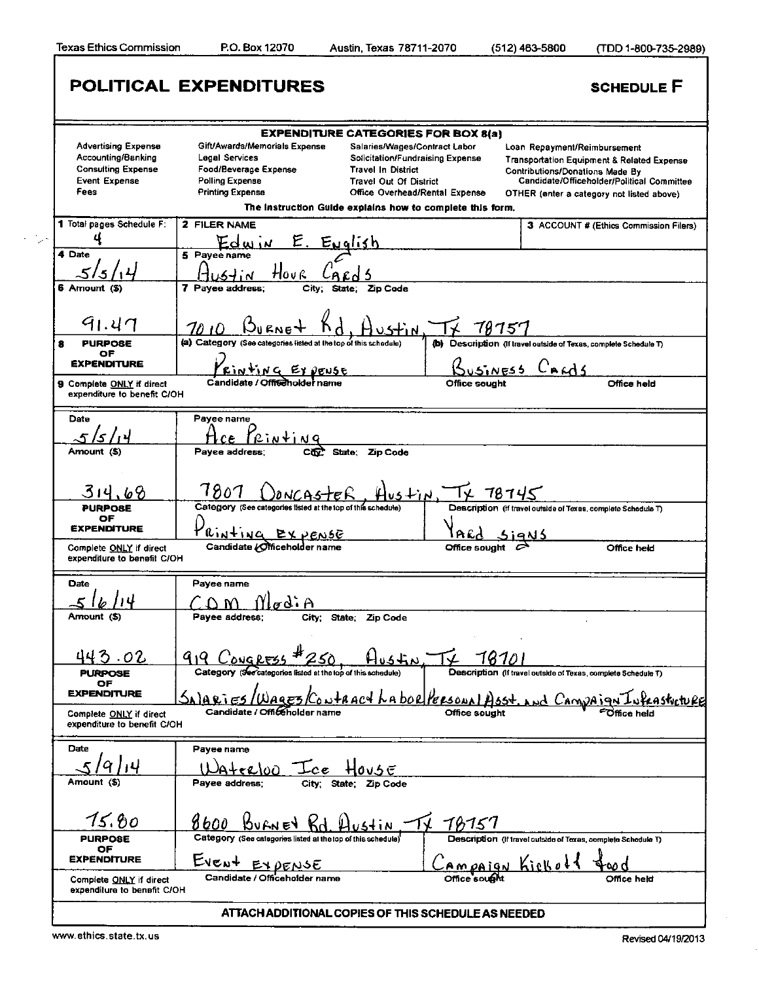|                                                        | <b>EXPENDITURE CATEGORIES FOR BOX 8(a)</b>                                          |                                                                   |
|--------------------------------------------------------|-------------------------------------------------------------------------------------|-------------------------------------------------------------------|
| <b>Advertising Expense</b>                             | Gift/Awards/Memorials Expense<br>Salaries/Wages/Contract Labor                      | Loan Repayment/Reimbursement                                      |
| Accounting/Banking                                     | Legal Services<br>Solicitation/Fundraising Expense                                  | <b>Transportation Equipment &amp; Related Expense</b>             |
| <b>Consulting Expense</b>                              | Food/Beverage Expense<br><b>Travel In District</b>                                  | Contributions/Donations Made By                                   |
| <b>Event Expense</b>                                   | <b>Polling Expense</b><br><b>Travel Out Of District</b>                             | Candidate/Officeholder/Political Committee                        |
| <b>Fees</b>                                            | <b>Printing Expense</b><br>Office Overhead/Rental Expense                           | OTHER (enter a category not listed above)                         |
|                                                        | The instruction Guide explains how to complete this form.                           |                                                                   |
| 1 Total pages Schedule F:                              | 2 FILER NAME                                                                        | 3 ACCOUNT # (Ethics Commission Filers)                            |
|                                                        | <u>E. Evalish</u><br><u>Edww</u>                                                    |                                                                   |
| 4 Date                                                 | 5 Payee name                                                                        |                                                                   |
|                                                        |                                                                                     |                                                                   |
|                                                        | Hovr<br>1571                                                                        |                                                                   |
| 6 Amount (\$)                                          | 7 Payee address;<br>City;<br>Zip Code<br>State;                                     |                                                                   |
|                                                        |                                                                                     |                                                                   |
| 91.47                                                  | 7010                                                                                | 78757                                                             |
| <b>PURPOSE</b><br>8                                    | (a) Category (See categories listed at the top of this schedule)                    | (b) Description (If travel outside of Texas, complete Schedule T) |
| OF                                                     |                                                                                     |                                                                   |
| <b>EXPENDITURE</b>                                     | Nting Expense                                                                       | usiness Chads                                                     |
| 9 Complete ONLY if direct                              | Candidate / Offiseholder name                                                       | Office sought<br>Office held                                      |
| expenditure to benefit C/OH                            |                                                                                     |                                                                   |
| Date                                                   | Payee name                                                                          |                                                                   |
|                                                        |                                                                                     |                                                                   |
|                                                        | Rinting                                                                             |                                                                   |
| Amount (\$)                                            | Payee address;<br>Zip Code<br>CICZ<br>State;                                        |                                                                   |
|                                                        |                                                                                     |                                                                   |
| 314.68                                                 | 7807                                                                                |                                                                   |
|                                                        | Category (See categories listed at the top of this schedule)                        | $5 + iN$ TX 78745                                                 |
| <b>PURPOSE</b><br>OF                                   |                                                                                     | Description (if travel outside of Texas, complete Schedule T)     |
|                                                        |                                                                                     |                                                                   |
| <b><i>EXPENDITURE</i></b>                              |                                                                                     |                                                                   |
| Complete ONLY if direct                                | Rinting EXPENSE<br>Candidate <i>[Officeholder name</i>                              | Office sought<br>Office held                                      |
| expenditure to benefit C/OH                            |                                                                                     |                                                                   |
| Date                                                   | Payee name                                                                          |                                                                   |
|                                                        |                                                                                     |                                                                   |
|                                                        | $\sigma d \cdot \theta$<br>LV W                                                     |                                                                   |
| Amount (S)                                             | Payee address:<br>City; State; Zip Code                                             |                                                                   |
|                                                        |                                                                                     |                                                                   |
|                                                        |                                                                                     |                                                                   |
| 443.02                                                 | 919 Congress # 250<br>$105+x$                                                       | 7810                                                              |
| <b>PURPOSE</b><br>OF                                   | Category (Seccategories listed at the top of this achedule)                         | Description (if travel outside of Texas, complete Schedule T)     |
| <b><i>EXPENDITURE</i></b>                              |                                                                                     |                                                                   |
|                                                        | <u>SalariEs/Wages/Contract Labor/Personal Asst</u><br>Candidate / Officeholder name | <u>nd</u> Campaign L<br>,<br>eastrct <u>uRe</u><br>Office sought  |
| Complete ONLY if direct<br>expenditure to benefit C/OH |                                                                                     |                                                                   |
|                                                        |                                                                                     |                                                                   |
| Date                                                   | Payee name                                                                          |                                                                   |
|                                                        |                                                                                     |                                                                   |
| Amount (S)                                             | Waterloo Ice House<br>Payee address:                                                |                                                                   |
|                                                        | City; State; Zip Code                                                               |                                                                   |
|                                                        |                                                                                     |                                                                   |
| 15.80                                                  |                                                                                     |                                                                   |
|                                                        | 8600<br><b>BUFNEY K</b><br>54 I N                                                   | 78757                                                             |
| <b>PURPOSE</b><br>OF                                   | Category (See categories listed at the top of this schedule)                        | Description (if travel outside of Texas, complete Schedule T)     |
| <b>EXPENDITURE</b>                                     |                                                                                     |                                                                   |
| Complete ONLY if direct                                | Event EXPENSE<br>Candidate / Officeholder name                                      | <u>'Ampaign Kiekol</u><br>የዕ በ<br>Office sought<br>Office held    |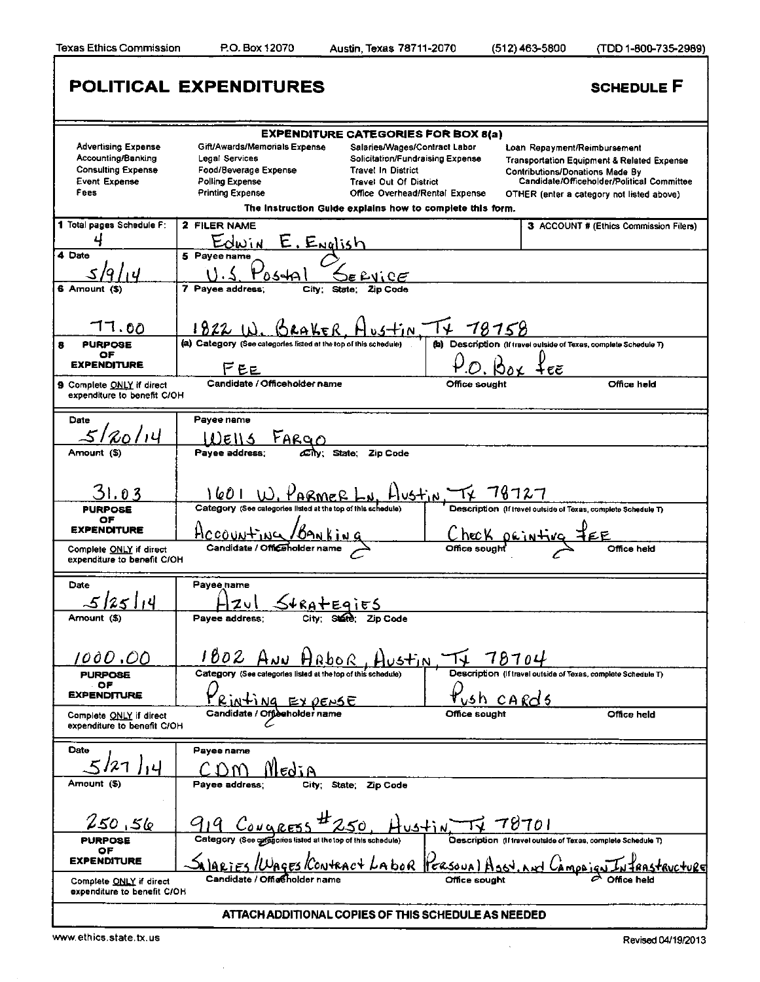Texas Ethics Commission P.O. Box 12070 Austin, Texas 78711-2070 (512)463-5800 (TDD 1-800-735-2989)

|                                                        | <b>POLITICAL EXPENDITURES</b>                                    |                                                           |                                                                                             | <b>SCHEDULE F</b>                                     |
|--------------------------------------------------------|------------------------------------------------------------------|-----------------------------------------------------------|---------------------------------------------------------------------------------------------|-------------------------------------------------------|
|                                                        |                                                                  | <b>EXPENDITURE CATEGORIES FOR BOX 8(a)</b>                |                                                                                             |                                                       |
| <b>Advertising Expense</b>                             | Gift/Awards/Memorials Expense                                    | Salaries/Wages/Contract Labor                             | Loan Repayment/Reimbursement                                                                |                                                       |
| Accounting/Banking                                     | Legal Services                                                   | Solicitation/Fundraising Expense                          |                                                                                             | <b>Transportation Equipment &amp; Related Expense</b> |
| <b>Consulting Expense</b>                              | Food/Beverage Expense                                            | <b>Travel In District</b>                                 | <b>Contributions/Donations Made By</b>                                                      |                                                       |
| <b>Event Expense</b>                                   | <b>Polling Expense</b>                                           | <b>Travel Out Of District</b>                             |                                                                                             | Candidate/Officeholder/Political Committee            |
| Fees                                                   | <b>Printing Expense</b>                                          | Office Overhead/Rental Expense                            |                                                                                             | OTHER (enter a category not listed above)             |
|                                                        |                                                                  | The Instruction Guide explains how to complete this form. |                                                                                             |                                                       |
| 1 Total pages Schedule F:                              | 2 FILER NAME                                                     |                                                           |                                                                                             | 3 ACCOUNT # (Ethics Commission Filers)                |
|                                                        | <u>E. English</u><br>Edwin                                       |                                                           |                                                                                             |                                                       |
| 4 Date                                                 | 5 Payee name                                                     |                                                           |                                                                                             |                                                       |
|                                                        |                                                                  |                                                           |                                                                                             |                                                       |
|                                                        |                                                                  | DE RUICE                                                  |                                                                                             |                                                       |
| 6 Amount (\$)                                          | 7 Payee address:<br>City:                                        | <b>Zip Code</b><br>State:                                 |                                                                                             |                                                       |
|                                                        |                                                                  |                                                           |                                                                                             |                                                       |
| 17.00                                                  | $1822$ W. GRAKER                                                 | Hustin T+ 78758                                           |                                                                                             |                                                       |
| <b>PURPOSE</b>                                         | (a) Category (See categories listed at the top of this schedule) |                                                           | (b) Description (If travel outside of Texas, complete Schedule T)                           |                                                       |
| OF                                                     |                                                                  |                                                           |                                                                                             |                                                       |
| <b>EXPENDITURE</b>                                     | FEE                                                              |                                                           | t ee                                                                                        |                                                       |
| 9 Complete ONLY if direct                              | Candidate / Officeholder name                                    |                                                           | Office sought                                                                               | Office held                                           |
| expenditure to benefit C/OH                            |                                                                  |                                                           |                                                                                             |                                                       |
| Date                                                   | Payee name                                                       |                                                           |                                                                                             |                                                       |
| 20/14                                                  |                                                                  |                                                           |                                                                                             |                                                       |
|                                                        | $rac{F_{ARQO}}{F_{av}}$<br>DEIIS                                 |                                                           |                                                                                             |                                                       |
| Amount (\$)                                            | Payee address:                                                   | State;<br><b>Zip Code</b>                                 |                                                                                             |                                                       |
|                                                        |                                                                  |                                                           |                                                                                             |                                                       |
| 31.03                                                  | 1601<br>KARMER.                                                  |                                                           |                                                                                             |                                                       |
| <b>PURPOSE</b>                                         | Category (See categories listed at the top of this schedule)     |                                                           | $\frac{105+1}{N}$ TK 18127<br>Description (if travel outside of Texas, complete Schedule T) |                                                       |
| OF                                                     |                                                                  |                                                           |                                                                                             |                                                       |
| <b>EXPENDITURE</b>                                     | <u>Accounting /Banking</u>                                       |                                                           | Check orintiva                                                                              |                                                       |
| Complete ONLY if direct                                | Candidate / Officeholder name                                    |                                                           |                                                                                             | Office held                                           |
| expenditure to benefit C/OH                            |                                                                  |                                                           |                                                                                             |                                                       |
|                                                        |                                                                  |                                                           |                                                                                             |                                                       |
| Date                                                   | Payee name                                                       |                                                           |                                                                                             |                                                       |
| 114                                                    | zul                                                              |                                                           |                                                                                             |                                                       |
| Amount (\$)                                            | Pavee address:                                                   | $S4$ RATEqiES                                             |                                                                                             |                                                       |
|                                                        |                                                                  |                                                           |                                                                                             |                                                       |
|                                                        |                                                                  |                                                           |                                                                                             |                                                       |
| 1000.00                                                |                                                                  | <u>1802 ANN HAbor, Austin, TV 78704</u>                   |                                                                                             |                                                       |
| <b>PURPOSE</b>                                         | Category (See categories listed at the top of this schedule)     |                                                           | Description (If travel outside of Texas, complete Schedule T)                               |                                                       |
| OF                                                     |                                                                  |                                                           |                                                                                             |                                                       |
| <b>EXPENDITURE</b>                                     | Rinting EXPENSE                                                  |                                                           | <u>ush cards</u>                                                                            |                                                       |
|                                                        | Candidate / Offischolder name                                    |                                                           | Office sought                                                                               | Office held                                           |
| Complete ONLY if direct<br>expenditure to benefit C/OH |                                                                  |                                                           |                                                                                             |                                                       |
|                                                        |                                                                  |                                                           |                                                                                             |                                                       |
| Date                                                   | Payee name                                                       |                                                           |                                                                                             |                                                       |
|                                                        | Nledia<br>$\mathbf{N}$                                           |                                                           |                                                                                             |                                                       |
| Amount (\$)                                            | Payee address:                                                   | City; State; Zip Code                                     |                                                                                             |                                                       |
|                                                        |                                                                  |                                                           |                                                                                             |                                                       |
|                                                        |                                                                  |                                                           |                                                                                             |                                                       |
| 250.56                                                 | $Couares5 - 250$                                                 | $4$ ustin $\overline{11}$                                 | 78701                                                                                       |                                                       |
| <b>PURPOSE</b>                                         | Category (See categories listed at the top of this schedule)     |                                                           | Description (If travel outside of Texas, complete Schedule T)                               |                                                       |
| ОF                                                     |                                                                  |                                                           |                                                                                             |                                                       |
| <b>EXPENDITURE</b>                                     |                                                                  | <u>Salaries/Wages/Contract Labor PersoualAs</u>           | Ca <u>moo</u>                                                                               |                                                       |
| Complete ONLY if direct                                | Candidate / Office holder name                                   |                                                           | Office sought                                                                               |                                                       |
| expenditure to benefit C/OH                            |                                                                  |                                                           |                                                                                             |                                                       |
|                                                        |                                                                  |                                                           |                                                                                             |                                                       |
|                                                        |                                                                  | ATTACH ADDITIONAL COPIES OF THIS SCHEDULE AS NEEDED       |                                                                                             |                                                       |
| www.ethics.state.tx.us                                 |                                                                  |                                                           |                                                                                             | Revised 04/19/2013                                    |
|                                                        |                                                                  |                                                           |                                                                                             |                                                       |

 $\bar{\mathcal{A}}$ 

 $\mathbb{R}^2$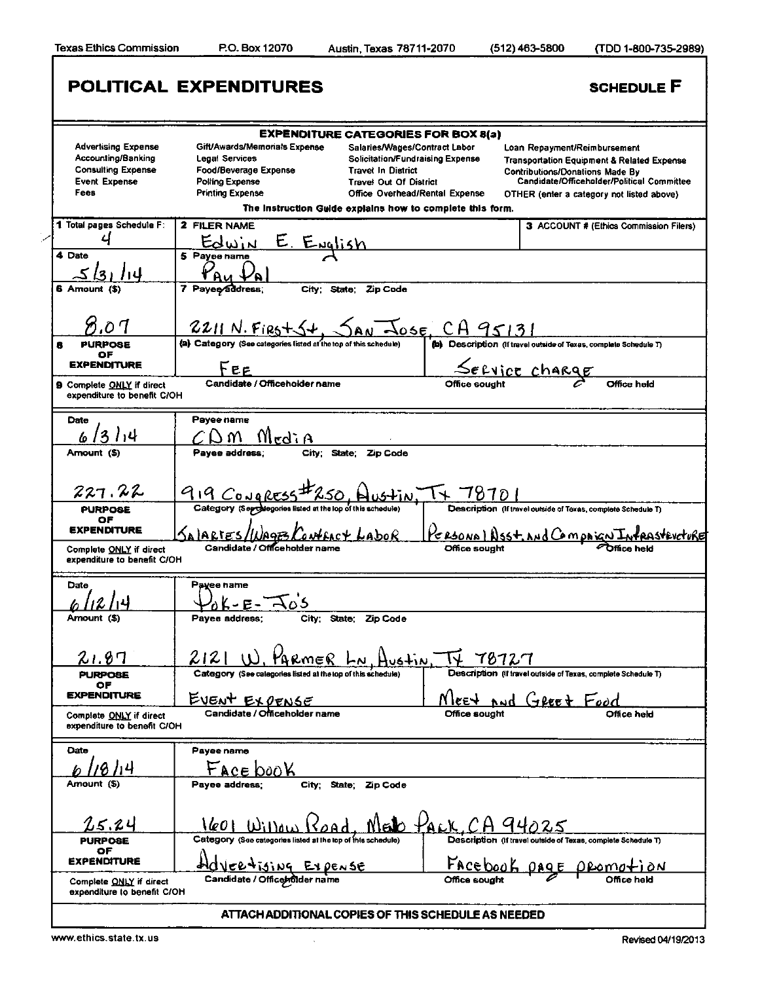|                                                                               | <b>POLITICAL EXPENDITURES</b>                                                      |                                                                                                                              |                              | <b>SCHEDULE F</b>                                                                                                               |
|-------------------------------------------------------------------------------|------------------------------------------------------------------------------------|------------------------------------------------------------------------------------------------------------------------------|------------------------------|---------------------------------------------------------------------------------------------------------------------------------|
|                                                                               |                                                                                    | <b>EXPENDITURE CATEGORIES FOR BOX 8(a)</b>                                                                                   |                              |                                                                                                                                 |
| <b>Advertising Expense</b><br>Accounting/Banking<br><b>Consulting Expense</b> | Gift/Awards/Memorials Expense<br>Legal Services<br>Food/Beverage Expense           | Salaries/Wages/Contract Labor<br>Solicitation/Fundraising Expense<br><b>Travel In District</b>                               |                              | Loan Repayment/Reimbursement<br><b>Transportation Equipment &amp; Related Expense</b><br><b>Contributions/Donations Made By</b> |
| <b>Event Expense</b><br>Fees                                                  | <b>Polling Expense</b><br><b>Printing Expense</b>                                  | <b>Travel Out Of District</b><br>Office Overhead/Rental Expense<br>The Instruction Guide explains how to complete this form. |                              | Candidate/Officeholder/Political Committee<br>OTHER (enter a category not listed above)                                         |
| 1 Total pages Schedule F:<br>4                                                | 2 FILER NAME                                                                       |                                                                                                                              |                              | 3 ACCOUNT # (Ethics Commission Filers)                                                                                          |
| 4 Date<br>14                                                                  | <u>E. English</u><br>Edwin<br>5 Pavee name                                         |                                                                                                                              |                              |                                                                                                                                 |
| 6 Amount (\$)                                                                 | 7 Payee address;<br>City:                                                          | Zip Code<br>State;                                                                                                           |                              |                                                                                                                                 |
| 71.OT                                                                         | $2211 N.F125+54$                                                                   |                                                                                                                              | $\frac{1}{2055}$ CA 95131    |                                                                                                                                 |
| <b>PURPOSE</b><br>OF                                                          | (a) Category (See categories listed at the top of this schedule)                   |                                                                                                                              |                              | (b) Description (if travel outside of Texas, complete Schedule T)                                                               |
| <b>EXPENDITURE</b><br>9 Complete ONLY if direct                               | Fee<br>Candidate / Officeholder name                                               |                                                                                                                              |                              | SECVICE Charge<br>Office held                                                                                                   |
| expenditure to benefit C/OH                                                   |                                                                                    |                                                                                                                              |                              |                                                                                                                                 |
| Date<br>3<br>1,4                                                              | Payee name<br>Medi A                                                               |                                                                                                                              |                              |                                                                                                                                 |
| Amount (\$)                                                                   | Payee address;<br>City:                                                            | Zip Code<br>State;                                                                                                           |                              |                                                                                                                                 |
| 227.22                                                                        | 919 CONQRESS                                                                       |                                                                                                                              | 787D                         |                                                                                                                                 |
| <b>PURPOSE</b><br>ОF<br><b>EXPENDITURE</b>                                    | Category (Septhegories listed at the lop of this schedule)                         |                                                                                                                              |                              | Description (If travel outside of Texas, complete Schedule T)                                                                   |
| Complete ONLY if direct<br>expenditure to benefit C/OH                        | SALARTES/WAGES<br>Candidate / Officeho                                             | LaboR                                                                                                                        | Office sought                | <u>Personal Nsst. And Compaign Infrasteveture</u>                                                                               |
| Date                                                                          | Payee name                                                                         |                                                                                                                              |                              |                                                                                                                                 |
| Amount (\$)                                                                   | - E-<br>Pavee address;<br>City:                                                    | State: Zip Code                                                                                                              |                              |                                                                                                                                 |
| 21.87                                                                         | 2121                                                                               |                                                                                                                              | $u$ of $\overline{14}$ 78727 |                                                                                                                                 |
| <b>PURPOSE</b><br>ОF                                                          | <u>, PARMER Lu</u><br>Category (See categories listed at the top of this schedule) |                                                                                                                              |                              | Description (If travel outside of Texas, complete Schedule T)                                                                   |
| <b>EXPENDITURE</b><br>Complete ONLY if direct                                 | <u>EVENT EXPENSE</u><br>Candidate / Officeholder name                              |                                                                                                                              | Office sought                | Nee <del>t and Greet Food</del><br>Office held                                                                                  |
| expenditure to benefit C/OH                                                   |                                                                                    |                                                                                                                              |                              |                                                                                                                                 |
| Date                                                                          | Payee name                                                                         |                                                                                                                              |                              |                                                                                                                                 |
| Amount (\$)                                                                   | Face book<br>Payee address:                                                        | City; State:<br>Zip Code                                                                                                     |                              |                                                                                                                                 |
| 25.24                                                                         | \601<br>Willow Koad                                                                |                                                                                                                              |                              | <u>MED PACK, CA 94025</u>                                                                                                       |
| <b>PURPOSE</b><br>OF<br><b>EXPENDITURE</b>                                    | Category (See categories listed at the top of this schedule)                       |                                                                                                                              |                              | Description (if travel outside of Texas, complete Schedule T)                                                                   |
| Complete ONLY if direct<br>expenditure to benefit C/OH                        | <u>ERTISING EXPENSE</u><br>Candidate / Officerodder name                           |                                                                                                                              | <b>Office sought</b>         | Facebook page<br>ðΝ<br>Office held                                                                                              |
|                                                                               | ATTACH ADDITIONAL COPIES OF THIS SCHEDULE AS NEEDED                                |                                                                                                                              |                              |                                                                                                                                 |
| www.ethics.state.tx.us                                                        |                                                                                    |                                                                                                                              |                              | Revised 04/19/2013                                                                                                              |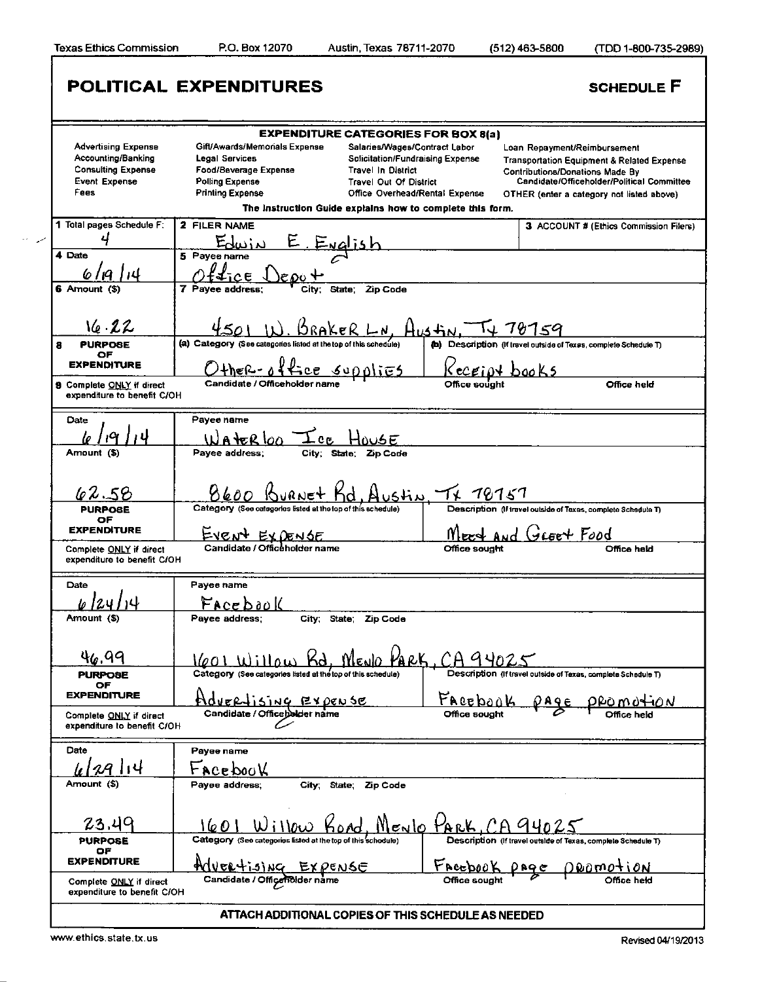Texas Ethics Commission P.O. Box 12070 Austin, Texas 78711-2070 (512)463-5800 (TDD 1-800-735-2989)

|                                                                               |                                                                                 | <b>EXPENDITURE CATEGORIES FOR BOX 8(a)</b>                                                     |                                                                                                                                 |
|-------------------------------------------------------------------------------|---------------------------------------------------------------------------------|------------------------------------------------------------------------------------------------|---------------------------------------------------------------------------------------------------------------------------------|
| <b>Advertising Expense</b><br>Accounting/Banking<br><b>Consulting Expense</b> | Gift/Awards/Memorials Expense<br><b>Legal Services</b><br>Food/Beverage Expense | Salaries/Wages/Contract Labor<br>Solicitation/Fundraising Expense<br><b>Travel In District</b> | Loan Repayment/Reimbursement<br><b>Transportation Equipment &amp; Related Expense</b><br><b>Contributions/Donations Made By</b> |
| <b>Event Expense</b><br>Fees                                                  | <b>Polling Expense</b><br><b>Printing Expense</b>                               | <b>Travel Out Of District</b><br>Office Overhead/Rental Expense                                | Candidate/Officeholder/Political Committee<br>OTHER (enter a category not listed above)                                         |
|                                                                               |                                                                                 | The Instruction Guide explains how to complete this form.                                      |                                                                                                                                 |
| 1 Total pages Schedule F:                                                     | 2 FILER NAME                                                                    |                                                                                                | 3 ACCOUNT # (Ethics Commission Filers)                                                                                          |
| 4                                                                             | <u>E English</u>                                                                |                                                                                                |                                                                                                                                 |
| 4 Date                                                                        | 5 Pavee name                                                                    |                                                                                                |                                                                                                                                 |
| 61<br>'ıQ<br>6 Amount (\$)                                                    | 7 Pavee address:                                                                | Zip Code<br>State:                                                                             |                                                                                                                                 |
|                                                                               |                                                                                 |                                                                                                |                                                                                                                                 |
| 16.22                                                                         |                                                                                 |                                                                                                |                                                                                                                                 |
| <b>PURPOSE</b><br>8                                                           | (a) Category (See categories listed at the top of this schedule)                | $H$ ustin, $T$                                                                                 | 78159<br>(b) Description (If travel outside of Texas, complete Schedule T)                                                      |
| OF                                                                            |                                                                                 |                                                                                                |                                                                                                                                 |
| <b>EXPENDITURE</b>                                                            | Other-office supplies                                                           |                                                                                                | <u>Kecriot books</u>                                                                                                            |
| 9 Complete ONLY if direct<br>expenditure to benefit C/OH                      | Candidate / Officeholder name                                                   | Office sought                                                                                  | Office held                                                                                                                     |
| Date                                                                          | Payee name                                                                      |                                                                                                |                                                                                                                                 |
|                                                                               | A terlon                                                                        | 15 E                                                                                           |                                                                                                                                 |
| Amount (\$)                                                                   | Payee address;                                                                  | City; State; Zip Code                                                                          |                                                                                                                                 |
|                                                                               |                                                                                 |                                                                                                |                                                                                                                                 |
| 62.58                                                                         |                                                                                 | <u>stin, Tx 70757</u>                                                                          |                                                                                                                                 |
| <b>PURPOSE</b>                                                                | Category (See categories listed at the top of this schedule)                    |                                                                                                | Description (If travel outside of Texas, complete Schedule T)                                                                   |
| OF<br><b>EXPENDITURE</b>                                                      | <u>EVENT EXPENSE</u>                                                            |                                                                                                | And GLEET Food                                                                                                                  |
| Complete ONLY if direct<br>expenditure to benefit C/OH                        | Candidate / Officeholder name                                                   | Office sought                                                                                  | Office held                                                                                                                     |
| Date                                                                          | Payee name                                                                      |                                                                                                |                                                                                                                                 |
|                                                                               | Facebook                                                                        |                                                                                                |                                                                                                                                 |
| Amount (\$)                                                                   | Payee address:                                                                  | City; State; Zip Code                                                                          |                                                                                                                                 |
|                                                                               |                                                                                 |                                                                                                |                                                                                                                                 |
| 46.99                                                                         |                                                                                 | 1601 Willow Rd. MENO PARK, CA 94025                                                            |                                                                                                                                 |
| <b>PURPOSE</b>                                                                | Category (See categories listed at the top of this schedule)                    |                                                                                                | Description (If travel outside of Texas, complete Schedule T)                                                                   |
| OF<br><b>EXPENDITURE</b>                                                      |                                                                                 | Facebook                                                                                       |                                                                                                                                 |
| Complete ONLY if direct                                                       | dvertising Expense<br>Candidate / Officebalder name                             | Office sought                                                                                  | ٦ÔN                                                                                                                             |
| expenditure to benefit C/OH                                                   |                                                                                 |                                                                                                |                                                                                                                                 |
| Date                                                                          | Payee name                                                                      |                                                                                                |                                                                                                                                 |
| 2914                                                                          | Facebook                                                                        |                                                                                                |                                                                                                                                 |
| Amount (\$)                                                                   | Payee address:<br>City:                                                         | State:<br>Zip Code                                                                             |                                                                                                                                 |
|                                                                               |                                                                                 |                                                                                                |                                                                                                                                 |
| 23.49                                                                         | Willo <u>w Kond</u><br>16 O                                                     | <u>Meylo PARK, CA 940</u>                                                                      |                                                                                                                                 |
| <b>PURPOSE</b>                                                                | Category (See categories listed at the top of this schedule)                    |                                                                                                | Description (If travel outside of Texas, complete Schedule T)                                                                   |
| ОF                                                                            | Advertising Expense                                                             |                                                                                                |                                                                                                                                 |
| <b>EXPENDITURE</b>                                                            |                                                                                 | $\tfrac{\text{Facebook}}{\text{Office sought}}$                                                | DROMOTION<br>$P$ <sup>2</sup>                                                                                                   |

www.ethics.state.tx.us Revised 04/19/2013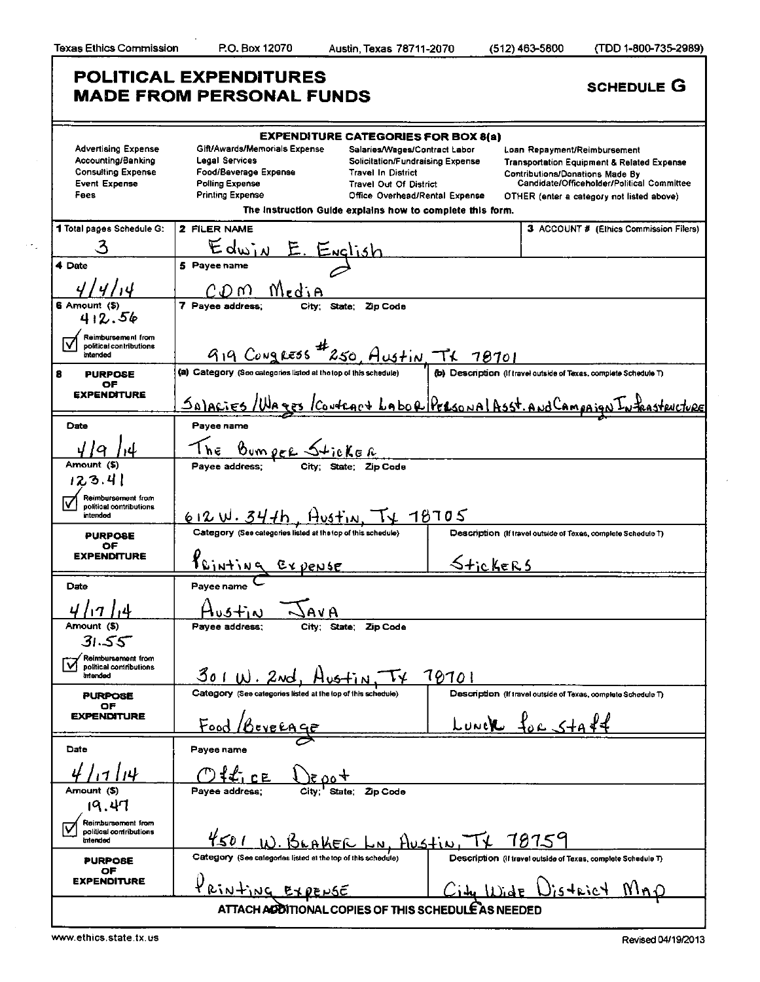L

Чý

|                                                                                                               | <b>POLITICAL EXPENDITURES</b><br><b>MADE FROM PERSONAL FUNDS</b>                                                                                                                                                                                                                                                                                                                                                     |                       | <b>SCHEDULE G</b>                                                                                                                                                                                                          |  |  |
|---------------------------------------------------------------------------------------------------------------|----------------------------------------------------------------------------------------------------------------------------------------------------------------------------------------------------------------------------------------------------------------------------------------------------------------------------------------------------------------------------------------------------------------------|-----------------------|----------------------------------------------------------------------------------------------------------------------------------------------------------------------------------------------------------------------------|--|--|
| <b>Advertising Expense</b><br>Accounting/Banking<br><b>Consulting Expense</b><br><b>Event Expense</b><br>Fees | <b>EXPENDITURE CATEGORIES FOR BOX 8(a)</b><br>Gift/Awards/Memorials Expense<br>Salaries/Wages/Contract Labor<br><b>Legal Services</b><br>Solicitation/Fundraising Expense<br>Food/Beverage Expense<br><b>Travel In District</b><br><b>Polling Expense</b><br><b>Travel Out Of District</b><br><b>Printing Expense</b><br>Office Overhead/Rental Expense<br>The Instruction Guide explains how to complete this form. |                       | Loan Repayment/Reimbursement<br><b>Transportation Equipment &amp; Related Expense</b><br><b>Contributions/Donations Made By</b><br>Candidate/Officeholder/Political Committee<br>OTHER (enter a category not listed above) |  |  |
| 1 Total pages Schedule G:<br>3                                                                                | 2 FILER NAME<br>$E_{\text{dm},N}$                                                                                                                                                                                                                                                                                                                                                                                    |                       | 3 ACCOUNT # (Ethics Commission Filers)                                                                                                                                                                                     |  |  |
| 4 Date                                                                                                        | <u>E. English</u><br>5 Payee name                                                                                                                                                                                                                                                                                                                                                                                    |                       |                                                                                                                                                                                                                            |  |  |
| 6 Amount (\$)<br>412.56                                                                                       | MediA<br>CD W<br>7 Payee address:<br>State: Zip Code<br>City:                                                                                                                                                                                                                                                                                                                                                        |                       |                                                                                                                                                                                                                            |  |  |
| Reimbursement from<br>ΙV<br>political contributions<br>intended                                               | 919 Congress 250 Austin TX 78701                                                                                                                                                                                                                                                                                                                                                                                     |                       |                                                                                                                                                                                                                            |  |  |
| 8<br><b>PURPOSE</b><br><b>OF</b><br><b>EXPENDITURE</b>                                                        | (a) Category (See categories listed at the top of this schedule)<br>Salacies/Wages<br><u>Iconfract Labor Personal Asst. And Campa</u>                                                                                                                                                                                                                                                                                |                       | (b) Description (if travel outside of Texas, complete Schedule T)<br>structure                                                                                                                                             |  |  |
| Date                                                                                                          | Payee name                                                                                                                                                                                                                                                                                                                                                                                                           |                       |                                                                                                                                                                                                                            |  |  |
| Q<br>Amount (\$)<br>123.4                                                                                     | <u>Bumper Sticker</u><br>Idress: City; State; Zip Code<br>l h e<br>Payee address:                                                                                                                                                                                                                                                                                                                                    |                       |                                                                                                                                                                                                                            |  |  |
| Reimbursement from<br>political contributions<br>intended                                                     | $612$ W. 34th, Austin.                                                                                                                                                                                                                                                                                                                                                                                               | 18705                 |                                                                                                                                                                                                                            |  |  |
| <b>PURPOSE</b><br><b>OF</b><br><b>EXPENDITURE</b>                                                             | Category (See categories listed at the top of this schedule)<br><u>Feinting</u><br>$E$ <u>v</u> $\rho$ ense                                                                                                                                                                                                                                                                                                          | <u>Stickers</u>       | Description (If travel outside of Texas, complete Schedule T)                                                                                                                                                              |  |  |
| Date                                                                                                          | Payee name<br>Hus <u>tin</u><br>AVA                                                                                                                                                                                                                                                                                                                                                                                  |                       |                                                                                                                                                                                                                            |  |  |
| Amount (\$)<br>31.55                                                                                          | Payee address;<br>City; State; Zip Code                                                                                                                                                                                                                                                                                                                                                                              |                       |                                                                                                                                                                                                                            |  |  |
| Reimbursement from<br>political contributions<br>V<br>bebreint                                                | 301W.2wd.                                                                                                                                                                                                                                                                                                                                                                                                            | 78701                 |                                                                                                                                                                                                                            |  |  |
| <b>PURPOSE</b><br>ОF<br><b>EXPENDITURE</b>                                                                    | Category (See categories listed at the lop of this schedule)<br>Food                                                                                                                                                                                                                                                                                                                                                 | LUNCK                 | Description (If travel outside of Texas, complete Schedule T)                                                                                                                                                              |  |  |
| Date                                                                                                          | Payee name                                                                                                                                                                                                                                                                                                                                                                                                           |                       |                                                                                                                                                                                                                            |  |  |
| 4ו                                                                                                            |                                                                                                                                                                                                                                                                                                                                                                                                                      |                       |                                                                                                                                                                                                                            |  |  |
| Amount (S)<br>19,41                                                                                           | City:<br>Pavee address:<br>Zip Code<br>State:                                                                                                                                                                                                                                                                                                                                                                        |                       |                                                                                                                                                                                                                            |  |  |
| Reimbursement from<br>political contributions<br>intended                                                     | 4501                                                                                                                                                                                                                                                                                                                                                                                                                 | <u>-n. Austin, TX</u> | 78759                                                                                                                                                                                                                      |  |  |
| <b>PURPOBE</b><br>ОF                                                                                          | Category (See calegories listed at the top of this schedule)                                                                                                                                                                                                                                                                                                                                                         |                       | Description (if travel outside of Texas, complete Schedule T)                                                                                                                                                              |  |  |
| <b>EXPENDITURE</b>                                                                                            | PRINTING EXPENSE                                                                                                                                                                                                                                                                                                                                                                                                     |                       | $N_{\Lambda}$<br>s trict                                                                                                                                                                                                   |  |  |
|                                                                                                               | ATTACH ADDITIONAL COPIES OF THIS SCHEDULE AS NEEDED                                                                                                                                                                                                                                                                                                                                                                  |                       |                                                                                                                                                                                                                            |  |  |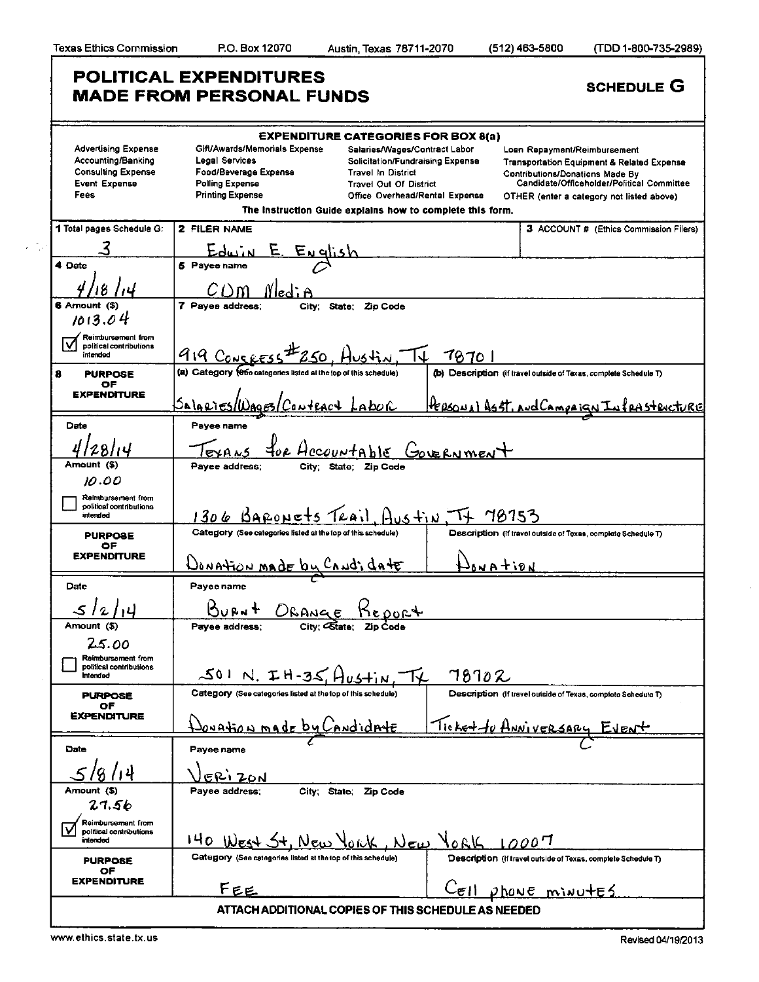$\mathcal{L}(\mathcal{I}_\mathcal{D})$ 

|                                                                                                               | POLITICAL EXPENDITURES<br><b>MADE FROM PERSONAL FUNDS</b>                                                                     | <b>SCHEDULE G</b>                                                                                                                                                                                                                                                            |                                                                                                                                                                                                                            |  |  |  |
|---------------------------------------------------------------------------------------------------------------|-------------------------------------------------------------------------------------------------------------------------------|------------------------------------------------------------------------------------------------------------------------------------------------------------------------------------------------------------------------------------------------------------------------------|----------------------------------------------------------------------------------------------------------------------------------------------------------------------------------------------------------------------------|--|--|--|
|                                                                                                               |                                                                                                                               |                                                                                                                                                                                                                                                                              |                                                                                                                                                                                                                            |  |  |  |
| <b>Advertising Expense</b><br>Accounting/Banking<br><b>Consulting Expense</b><br><b>Event Expense</b><br>Fees | Gift/Awards/Memorials Expense<br>Legal Services<br>Food/Beverage Expense<br><b>Polling Expense</b><br><b>Printing Expense</b> | <b>EXPENDITURE CATEGORIES FOR BOX 8(a)</b><br>Salaries/Wages/Contract Labor<br><b>Solicitation/Fundraising Expense</b><br><b>Travel In District</b><br>Travel Out Of District<br>Office Overhead/Rental Expense<br>The Instruction Guide explains how to complete this form. | Loan Repayment/Reimbursement<br><b>Transportation Equipment &amp; Related Expense</b><br><b>Contributions/Donations Made By</b><br>Candidate/Officeholder/Political Committee<br>OTHER (enter a category not listed above) |  |  |  |
| 1 Total pages Schedule G:                                                                                     | 2 FILER NAME                                                                                                                  |                                                                                                                                                                                                                                                                              | 3 ACCOUNT # (Ethics Commission Filers)                                                                                                                                                                                     |  |  |  |
|                                                                                                               |                                                                                                                               |                                                                                                                                                                                                                                                                              |                                                                                                                                                                                                                            |  |  |  |
| 4 Date                                                                                                        | <u>English</u><br>5 Payee name                                                                                                |                                                                                                                                                                                                                                                                              |                                                                                                                                                                                                                            |  |  |  |
|                                                                                                               |                                                                                                                               |                                                                                                                                                                                                                                                                              |                                                                                                                                                                                                                            |  |  |  |
| 6 Amount (\$)                                                                                                 | 7 Payee address:<br>State;<br>Zip Code<br>City:                                                                               |                                                                                                                                                                                                                                                                              |                                                                                                                                                                                                                            |  |  |  |
| 1013.04                                                                                                       |                                                                                                                               |                                                                                                                                                                                                                                                                              |                                                                                                                                                                                                                            |  |  |  |
| Reimbursement from<br>political contributions<br>intended                                                     | 919 CONCRESS<br><u>78701</u><br>750 . Hu                                                                                      |                                                                                                                                                                                                                                                                              |                                                                                                                                                                                                                            |  |  |  |
| 8<br><b>PURPOSE</b>                                                                                           | (a) Category (ese categories listed at the top of this schedule)                                                              |                                                                                                                                                                                                                                                                              | (b) Description (if travel outside of Texas, complete Schedule T)                                                                                                                                                          |  |  |  |
| ОF<br><b>EXPENDITURE</b>                                                                                      | <u>Salaries/U</u>                                                                                                             | <u>LAbor</u>                                                                                                                                                                                                                                                                 | PERSONAL ASST, AND CAMPAIGN<br><u>rastricture</u>                                                                                                                                                                          |  |  |  |
| Date                                                                                                          | Payee name                                                                                                                    |                                                                                                                                                                                                                                                                              |                                                                                                                                                                                                                            |  |  |  |
|                                                                                                               | foe Hecountable<br>Governmen                                                                                                  |                                                                                                                                                                                                                                                                              |                                                                                                                                                                                                                            |  |  |  |
| Amount (\$)                                                                                                   | Payee address:                                                                                                                | City: State: Zip Code                                                                                                                                                                                                                                                        |                                                                                                                                                                                                                            |  |  |  |
| 10.00                                                                                                         |                                                                                                                               |                                                                                                                                                                                                                                                                              |                                                                                                                                                                                                                            |  |  |  |
| Reimbursement from<br>political contributions<br>intended                                                     | 1306 BARONETS TRAIL AUSTIN, TT 78753                                                                                          |                                                                                                                                                                                                                                                                              |                                                                                                                                                                                                                            |  |  |  |
| <b>PURPOSE</b><br>ОF                                                                                          | Category (See categories listed at the top of this schedule)                                                                  |                                                                                                                                                                                                                                                                              | Description (if travel outside of Texas, complete Schedule T)                                                                                                                                                              |  |  |  |
| <b>EXPENDITURE</b>                                                                                            | <u> UONAtion MADE by CANDi date</u>                                                                                           |                                                                                                                                                                                                                                                                              | Jona tion                                                                                                                                                                                                                  |  |  |  |
| Date                                                                                                          | Payee name                                                                                                                    |                                                                                                                                                                                                                                                                              |                                                                                                                                                                                                                            |  |  |  |
|                                                                                                               | ORANGE                                                                                                                        |                                                                                                                                                                                                                                                                              |                                                                                                                                                                                                                            |  |  |  |
| Amount (S)                                                                                                    | City; Citate:<br>Payee address;                                                                                               |                                                                                                                                                                                                                                                                              |                                                                                                                                                                                                                            |  |  |  |
| 25.00                                                                                                         |                                                                                                                               |                                                                                                                                                                                                                                                                              |                                                                                                                                                                                                                            |  |  |  |
| Reimbursement from<br>political contributions<br><b>Intended</b>                                              | $501$ N. $TH-35$ , $A$ <sub>ustin</sub>                                                                                       | 78702                                                                                                                                                                                                                                                                        |                                                                                                                                                                                                                            |  |  |  |
| <b>PURPOSE</b><br>ОF                                                                                          | Category (See categories listed at the top of this schedule)                                                                  |                                                                                                                                                                                                                                                                              | Description (If travel outside of Texas, complete Schedule T)                                                                                                                                                              |  |  |  |
| <b><i>EXPENDITURE</i></b>                                                                                     | Donation made by                                                                                                              | <u>inndidrite</u>                                                                                                                                                                                                                                                            | <u>Ticket to Anniversary</u>                                                                                                                                                                                               |  |  |  |
| Date                                                                                                          | Payee name                                                                                                                    |                                                                                                                                                                                                                                                                              |                                                                                                                                                                                                                            |  |  |  |
|                                                                                                               | ERIZON                                                                                                                        |                                                                                                                                                                                                                                                                              |                                                                                                                                                                                                                            |  |  |  |
| Amount (\$)<br>27.56                                                                                          | Payee address:<br>City State.                                                                                                 | Zip Code                                                                                                                                                                                                                                                                     |                                                                                                                                                                                                                            |  |  |  |
| Reimbursement from<br>political contributions<br>intended                                                     | $140$ West $5+$ , New                                                                                                         | JORK, New YORK                                                                                                                                                                                                                                                               | 10007                                                                                                                                                                                                                      |  |  |  |
| <b>PURPOSE</b>                                                                                                | Category (See categories listed at the top of this schedule)                                                                  |                                                                                                                                                                                                                                                                              | Description (if travel outside of Texas, complete Schedule T)                                                                                                                                                              |  |  |  |
| ОF<br><b>EXPENDITURE</b>                                                                                      |                                                                                                                               |                                                                                                                                                                                                                                                                              |                                                                                                                                                                                                                            |  |  |  |
|                                                                                                               | FEE                                                                                                                           |                                                                                                                                                                                                                                                                              | <u>CELL phone minutes</u>                                                                                                                                                                                                  |  |  |  |
| ATTACH ADDITIONAL COPIES OF THIS SCHEDULE AS NEEDED                                                           |                                                                                                                               |                                                                                                                                                                                                                                                                              |                                                                                                                                                                                                                            |  |  |  |

 $\bar{z}$